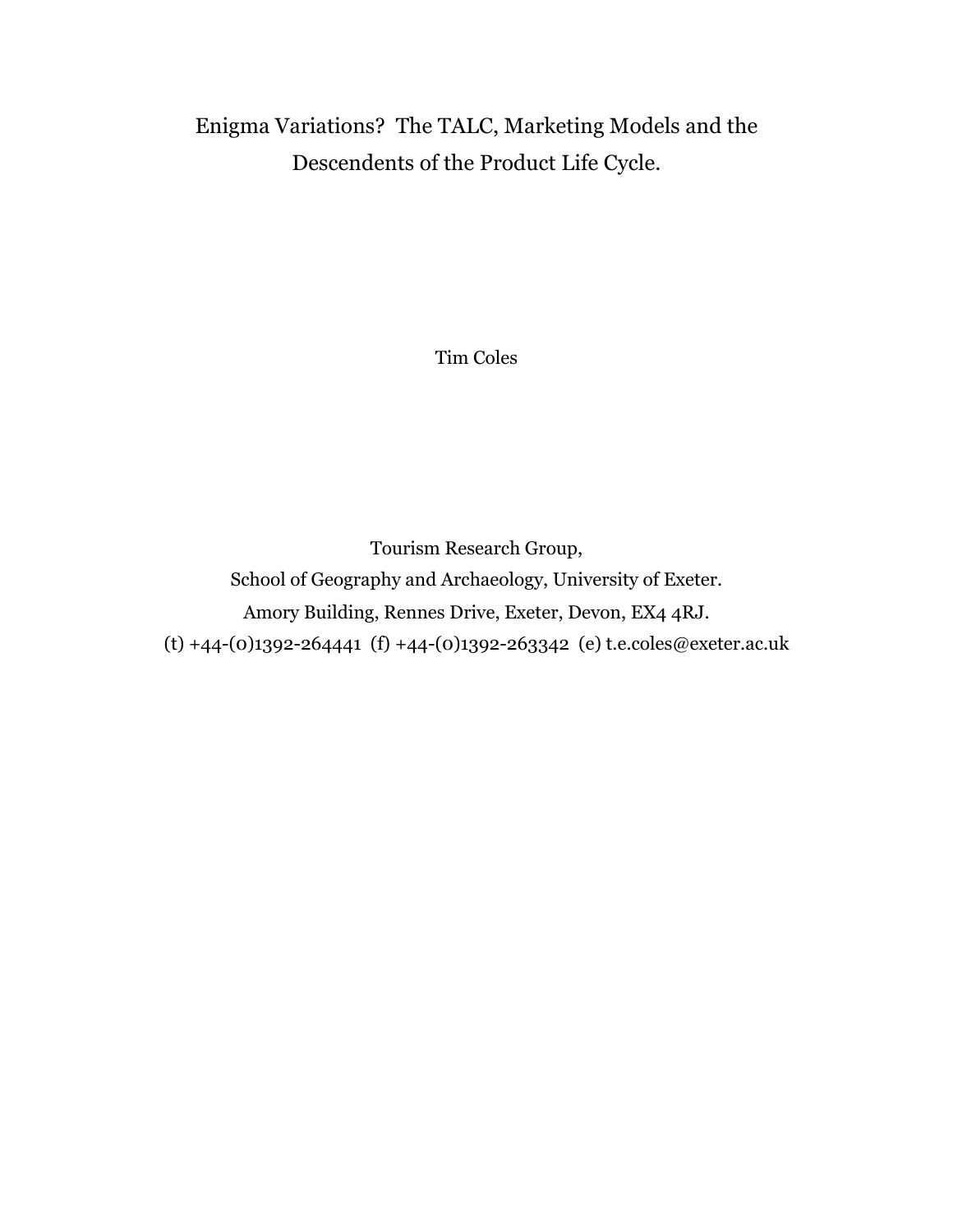Enigma Variations? The TALC, Marketing Models and the Descendents of the Product Life Cycle.

Tim Coles

Tourism Research Group, School of Geography and Archaeology, University of Exeter. Amory Building, Rennes Drive, Exeter, Devon, EX4 4RJ. (t) +44-(0)1392-264441 (f) +44-(0)1392-263342 (e) t.e.coles@exeter.ac.uk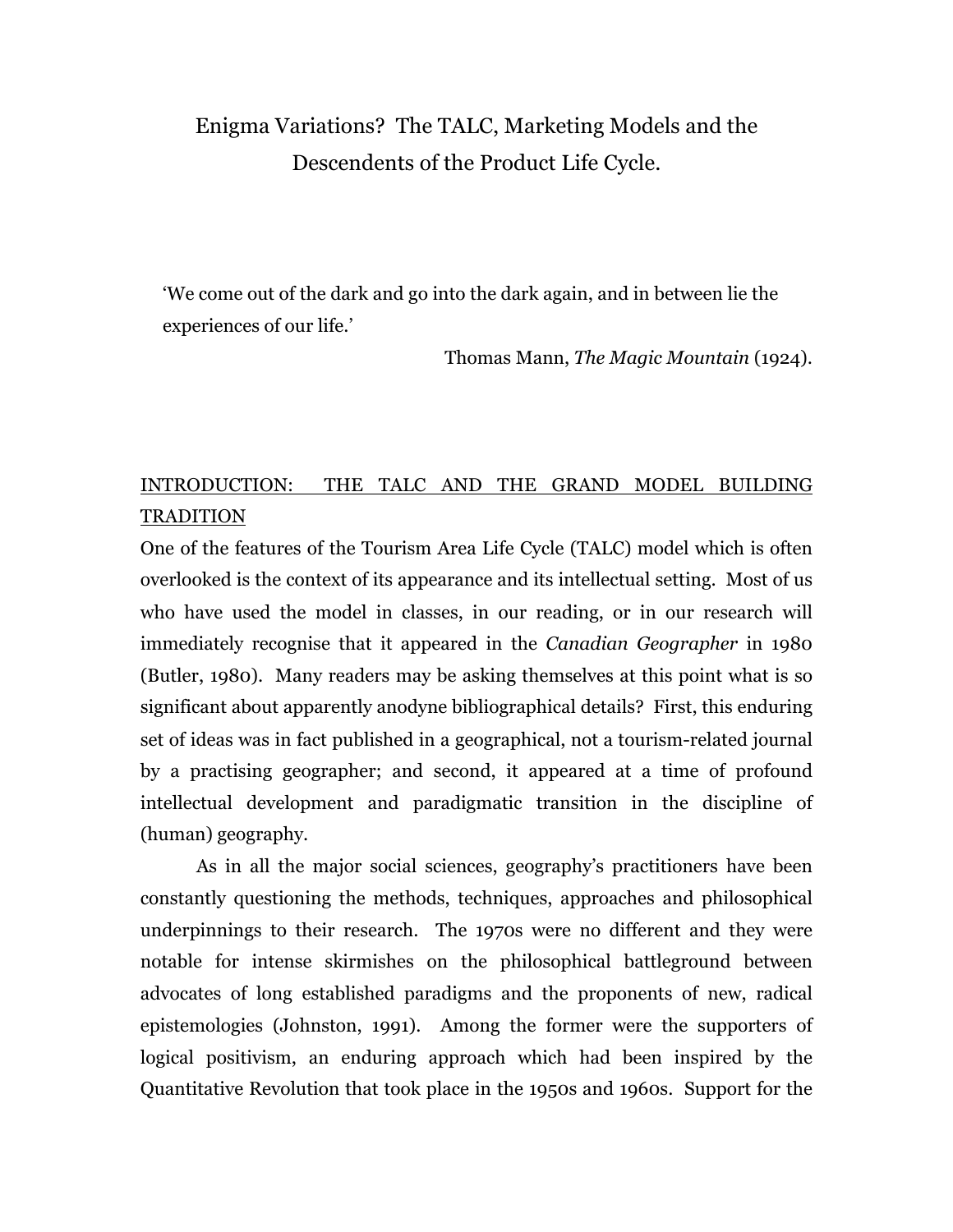# Enigma Variations? The TALC, Marketing Models and the Descendents of the Product Life Cycle.

'We come out of the dark and go into the dark again, and in between lie the experiences of our life.'

Thomas Mann, *The Magic Mountain* (1924).

# INTRODUCTION: THE TALC AND THE GRAND MODEL BUILDING TRADITION

One of the features of the Tourism Area Life Cycle (TALC) model which is often overlooked is the context of its appearance and its intellectual setting. Most of us who have used the model in classes, in our reading, or in our research will immediately recognise that it appeared in the *Canadian Geographer* in 1980 (Butler, 1980). Many readers may be asking themselves at this point what is so significant about apparently anodyne bibliographical details? First, this enduring set of ideas was in fact published in a geographical, not a tourism-related journal by a practising geographer; and second, it appeared at a time of profound intellectual development and paradigmatic transition in the discipline of (human) geography.

As in all the major social sciences, geography's practitioners have been constantly questioning the methods, techniques, approaches and philosophical underpinnings to their research. The 1970s were no different and they were notable for intense skirmishes on the philosophical battleground between advocates of long established paradigms and the proponents of new, radical epistemologies (Johnston, 1991). Among the former were the supporters of logical positivism, an enduring approach which had been inspired by the Quantitative Revolution that took place in the 1950s and 1960s. Support for the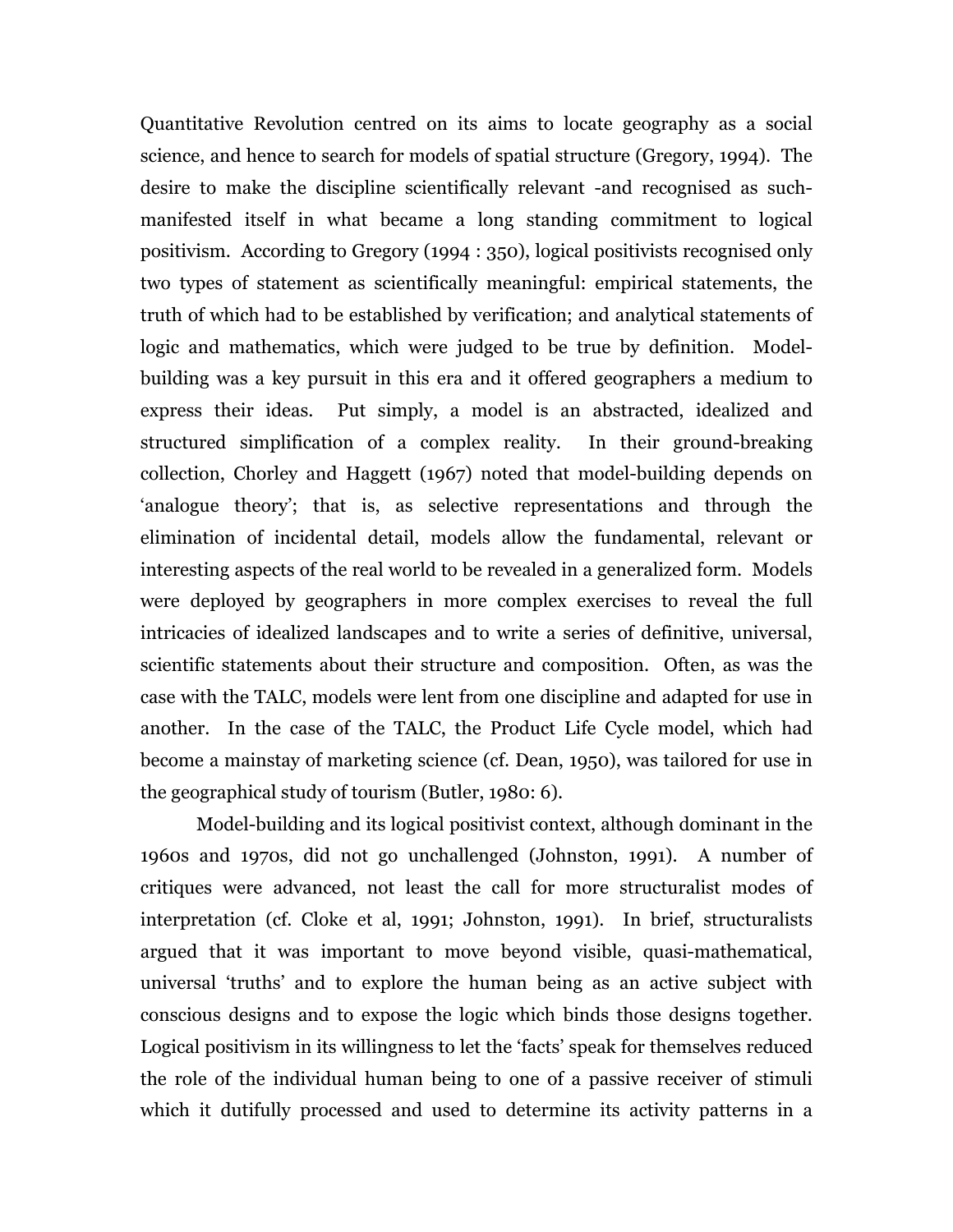Quantitative Revolution centred on its aims to locate geography as a social science, and hence to search for models of spatial structure (Gregory, 1994). The desire to make the discipline scientifically relevant -and recognised as suchmanifested itself in what became a long standing commitment to logical positivism. According to Gregory (1994 : 350), logical positivists recognised only two types of statement as scientifically meaningful: empirical statements, the truth of which had to be established by verification; and analytical statements of logic and mathematics, which were judged to be true by definition. Modelbuilding was a key pursuit in this era and it offered geographers a medium to express their ideas. Put simply, a model is an abstracted, idealized and structured simplification of a complex reality. In their ground-breaking collection, Chorley and Haggett (1967) noted that model-building depends on 'analogue theory'; that is, as selective representations and through the elimination of incidental detail, models allow the fundamental, relevant or interesting aspects of the real world to be revealed in a generalized form. Models were deployed by geographers in more complex exercises to reveal the full intricacies of idealized landscapes and to write a series of definitive, universal, scientific statements about their structure and composition. Often, as was the case with the TALC, models were lent from one discipline and adapted for use in another. In the case of the TALC, the Product Life Cycle model, which had become a mainstay of marketing science (cf. Dean, 1950), was tailored for use in the geographical study of tourism (Butler, 1980: 6).

Model-building and its logical positivist context, although dominant in the 1960s and 1970s, did not go unchallenged (Johnston, 1991). A number of critiques were advanced, not least the call for more structuralist modes of interpretation (cf. Cloke et al, 1991; Johnston, 1991). In brief, structuralists argued that it was important to move beyond visible, quasi-mathematical, universal 'truths' and to explore the human being as an active subject with conscious designs and to expose the logic which binds those designs together. Logical positivism in its willingness to let the 'facts' speak for themselves reduced the role of the individual human being to one of a passive receiver of stimuli which it dutifully processed and used to determine its activity patterns in a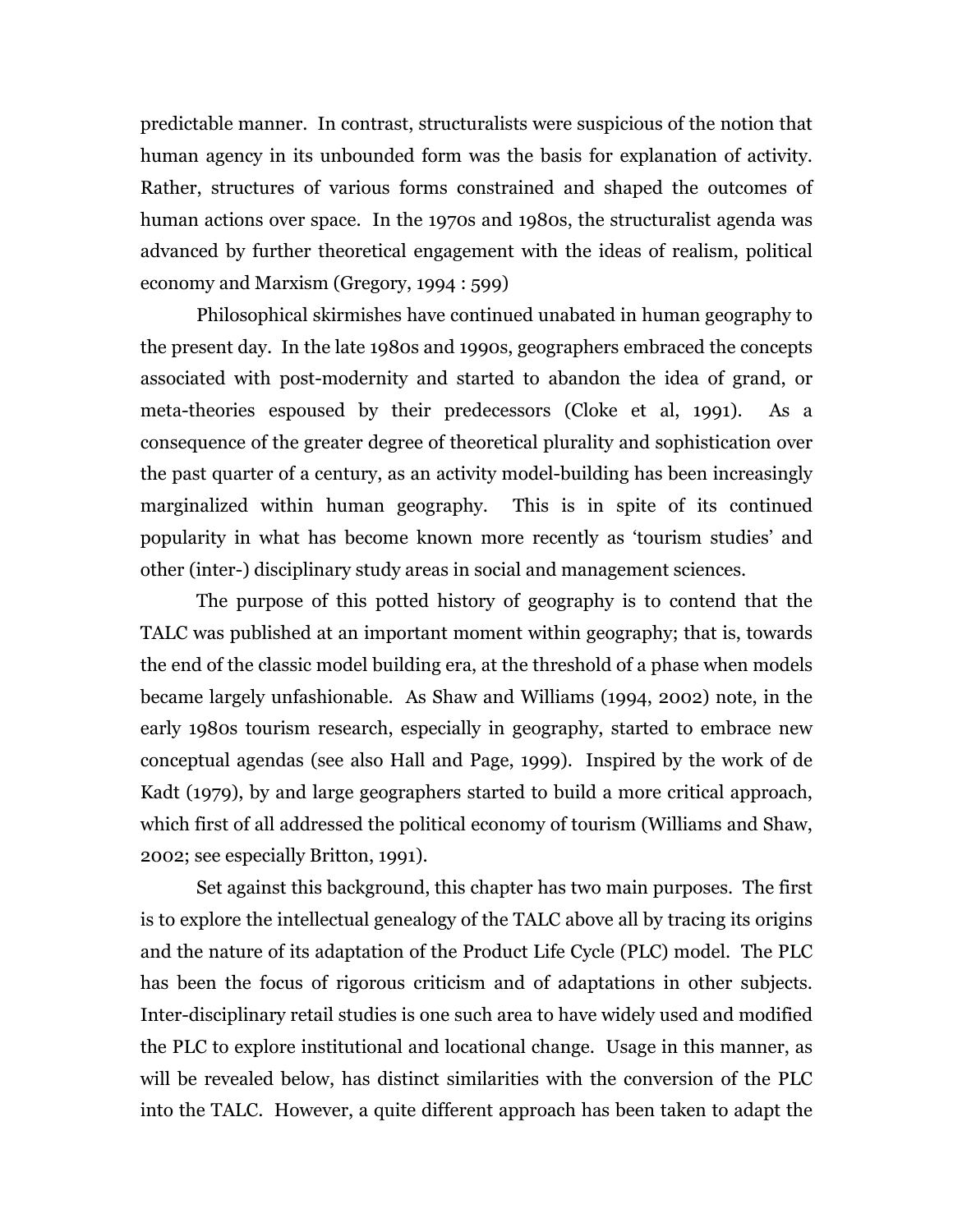predictable manner. In contrast, structuralists were suspicious of the notion that human agency in its unbounded form was the basis for explanation of activity. Rather, structures of various forms constrained and shaped the outcomes of human actions over space. In the 1970s and 1980s, the structuralist agenda was advanced by further theoretical engagement with the ideas of realism, political economy and Marxism (Gregory, 1994 : 599)

Philosophical skirmishes have continued unabated in human geography to the present day. In the late 1980s and 1990s, geographers embraced the concepts associated with post-modernity and started to abandon the idea of grand, or meta-theories espoused by their predecessors (Cloke et al, 1991). As a consequence of the greater degree of theoretical plurality and sophistication over the past quarter of a century, as an activity model-building has been increasingly marginalized within human geography. This is in spite of its continued popularity in what has become known more recently as 'tourism studies' and other (inter-) disciplinary study areas in social and management sciences.

The purpose of this potted history of geography is to contend that the TALC was published at an important moment within geography; that is, towards the end of the classic model building era, at the threshold of a phase when models became largely unfashionable. As Shaw and Williams (1994, 2002) note, in the early 1980s tourism research, especially in geography, started to embrace new conceptual agendas (see also Hall and Page, 1999). Inspired by the work of de Kadt (1979), by and large geographers started to build a more critical approach, which first of all addressed the political economy of tourism (Williams and Shaw, 2002; see especially Britton, 1991).

Set against this background, this chapter has two main purposes. The first is to explore the intellectual genealogy of the TALC above all by tracing its origins and the nature of its adaptation of the Product Life Cycle (PLC) model. The PLC has been the focus of rigorous criticism and of adaptations in other subjects. Inter-disciplinary retail studies is one such area to have widely used and modified the PLC to explore institutional and locational change. Usage in this manner, as will be revealed below, has distinct similarities with the conversion of the PLC into the TALC. However, a quite different approach has been taken to adapt the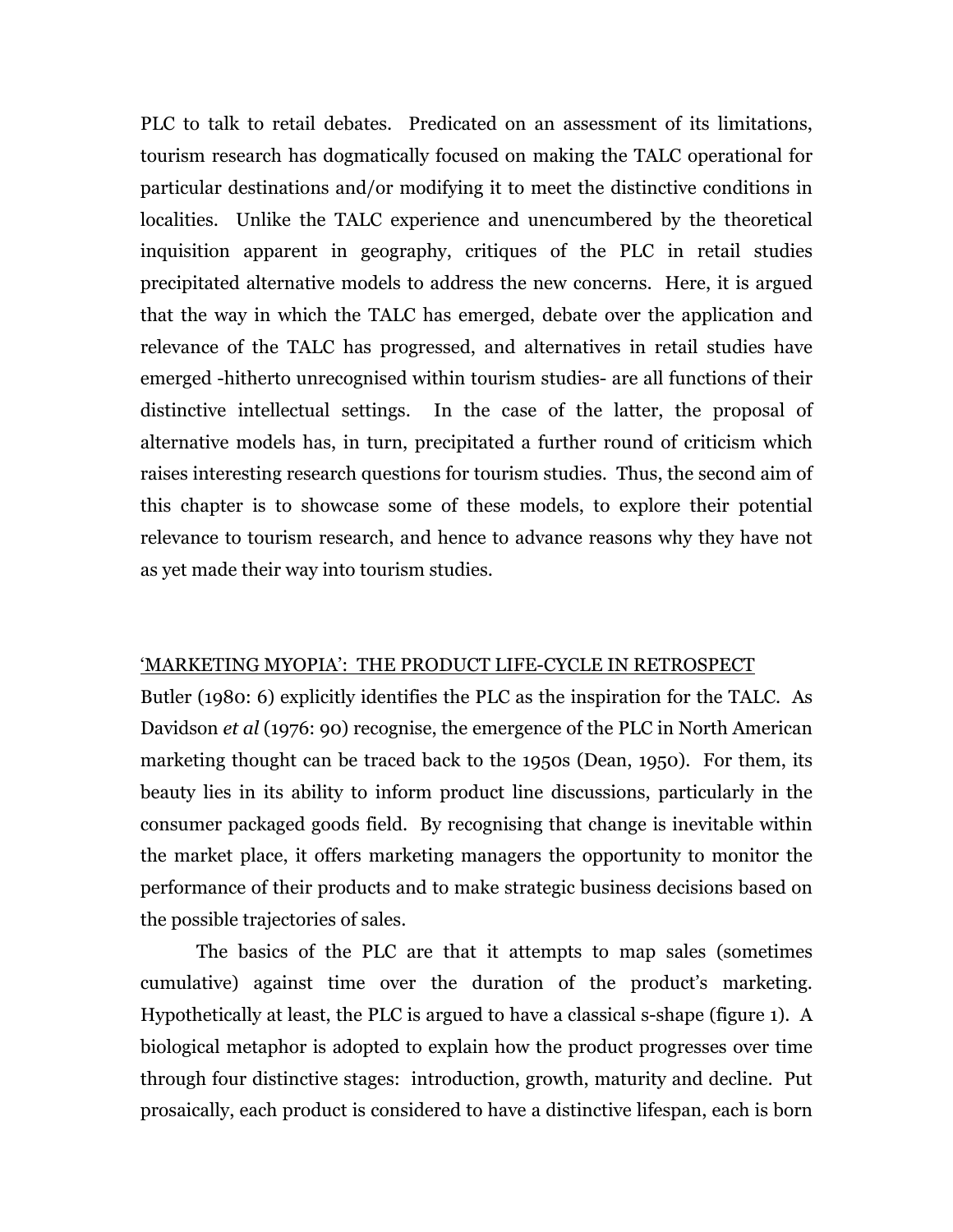PLC to talk to retail debates. Predicated on an assessment of its limitations, tourism research has dogmatically focused on making the TALC operational for particular destinations and/or modifying it to meet the distinctive conditions in localities. Unlike the TALC experience and unencumbered by the theoretical inquisition apparent in geography, critiques of the PLC in retail studies precipitated alternative models to address the new concerns. Here, it is argued that the way in which the TALC has emerged, debate over the application and relevance of the TALC has progressed, and alternatives in retail studies have emerged -hitherto unrecognised within tourism studies- are all functions of their distinctive intellectual settings. In the case of the latter, the proposal of alternative models has, in turn, precipitated a further round of criticism which raises interesting research questions for tourism studies. Thus, the second aim of this chapter is to showcase some of these models, to explore their potential relevance to tourism research, and hence to advance reasons why they have not as yet made their way into tourism studies.

#### 'MARKETING MYOPIA': THE PRODUCT LIFE-CYCLE IN RETROSPECT

Butler (1980: 6) explicitly identifies the PLC as the inspiration for the TALC. As Davidson *et al* (1976: 90) recognise, the emergence of the PLC in North American marketing thought can be traced back to the 1950s (Dean, 1950). For them, its beauty lies in its ability to inform product line discussions, particularly in the consumer packaged goods field. By recognising that change is inevitable within the market place, it offers marketing managers the opportunity to monitor the performance of their products and to make strategic business decisions based on the possible trajectories of sales.

The basics of the PLC are that it attempts to map sales (sometimes cumulative) against time over the duration of the product's marketing. Hypothetically at least, the PLC is argued to have a classical s-shape (figure 1). A biological metaphor is adopted to explain how the product progresses over time through four distinctive stages: introduction, growth, maturity and decline. Put prosaically, each product is considered to have a distinctive lifespan, each is born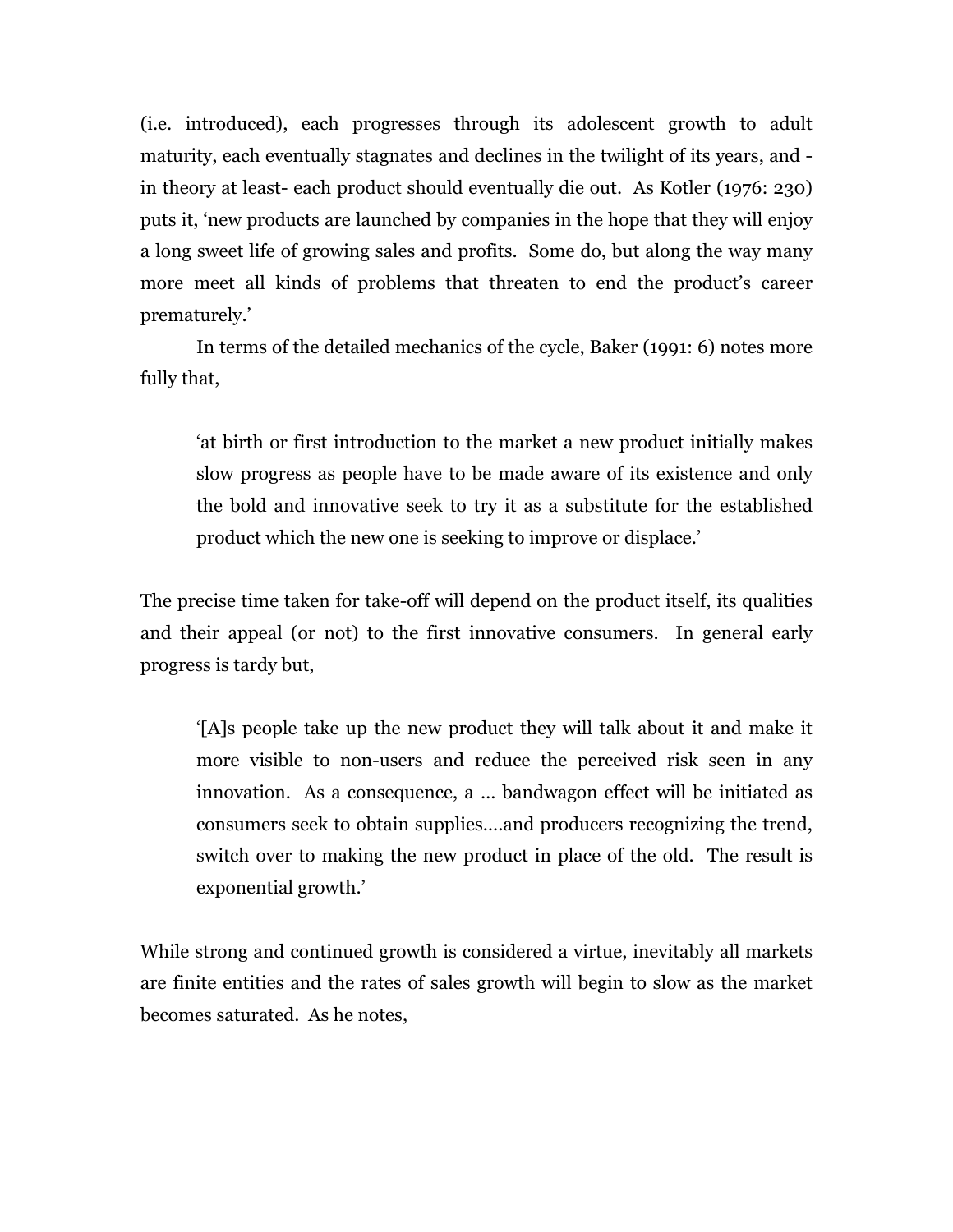(i.e. introduced), each progresses through its adolescent growth to adult maturity, each eventually stagnates and declines in the twilight of its years, and in theory at least- each product should eventually die out. As Kotler (1976: 230) puts it, 'new products are launched by companies in the hope that they will enjoy a long sweet life of growing sales and profits. Some do, but along the way many more meet all kinds of problems that threaten to end the product's career prematurely.'

In terms of the detailed mechanics of the cycle, Baker (1991: 6) notes more fully that,

'at birth or first introduction to the market a new product initially makes slow progress as people have to be made aware of its existence and only the bold and innovative seek to try it as a substitute for the established product which the new one is seeking to improve or displace.'

The precise time taken for take-off will depend on the product itself, its qualities and their appeal (or not) to the first innovative consumers. In general early progress is tardy but,

'[A]s people take up the new product they will talk about it and make it more visible to non-users and reduce the perceived risk seen in any innovation. As a consequence, a … bandwagon effect will be initiated as consumers seek to obtain supplies….and producers recognizing the trend, switch over to making the new product in place of the old. The result is exponential growth.'

While strong and continued growth is considered a virtue, inevitably all markets are finite entities and the rates of sales growth will begin to slow as the market becomes saturated. As he notes,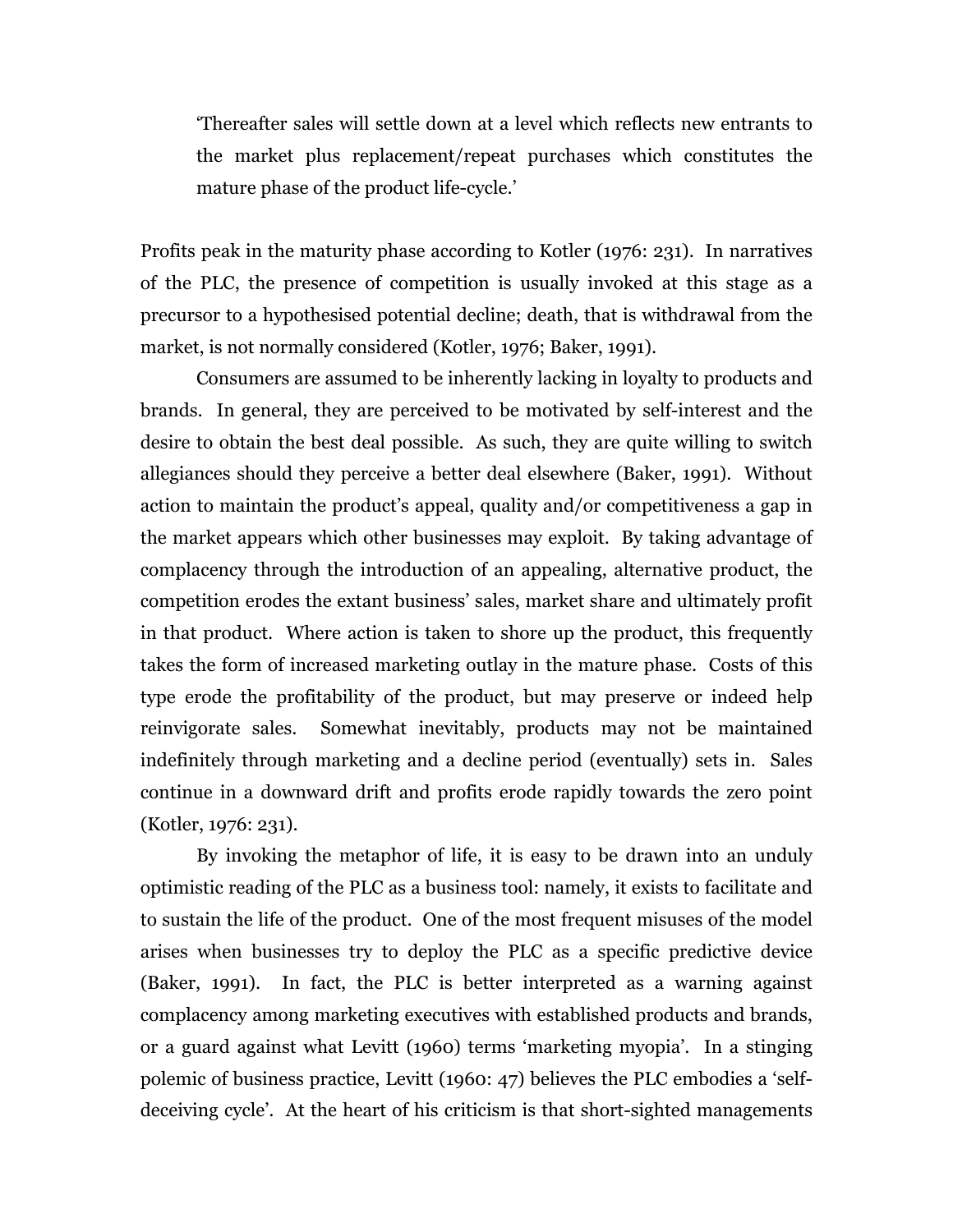'Thereafter sales will settle down at a level which reflects new entrants to the market plus replacement/repeat purchases which constitutes the mature phase of the product life-cycle.'

Profits peak in the maturity phase according to Kotler (1976: 231). In narratives of the PLC, the presence of competition is usually invoked at this stage as a precursor to a hypothesised potential decline; death, that is withdrawal from the market, is not normally considered (Kotler, 1976; Baker, 1991).

Consumers are assumed to be inherently lacking in loyalty to products and brands. In general, they are perceived to be motivated by self-interest and the desire to obtain the best deal possible. As such, they are quite willing to switch allegiances should they perceive a better deal elsewhere (Baker, 1991). Without action to maintain the product's appeal, quality and/or competitiveness a gap in the market appears which other businesses may exploit. By taking advantage of complacency through the introduction of an appealing, alternative product, the competition erodes the extant business' sales, market share and ultimately profit in that product. Where action is taken to shore up the product, this frequently takes the form of increased marketing outlay in the mature phase. Costs of this type erode the profitability of the product, but may preserve or indeed help reinvigorate sales. Somewhat inevitably, products may not be maintained indefinitely through marketing and a decline period (eventually) sets in. Sales continue in a downward drift and profits erode rapidly towards the zero point (Kotler, 1976: 231).

By invoking the metaphor of life, it is easy to be drawn into an unduly optimistic reading of the PLC as a business tool: namely, it exists to facilitate and to sustain the life of the product. One of the most frequent misuses of the model arises when businesses try to deploy the PLC as a specific predictive device (Baker, 1991). In fact, the PLC is better interpreted as a warning against complacency among marketing executives with established products and brands, or a guard against what Levitt (1960) terms 'marketing myopia'. In a stinging polemic of business practice, Levitt (1960: 47) believes the PLC embodies a 'selfdeceiving cycle'. At the heart of his criticism is that short-sighted managements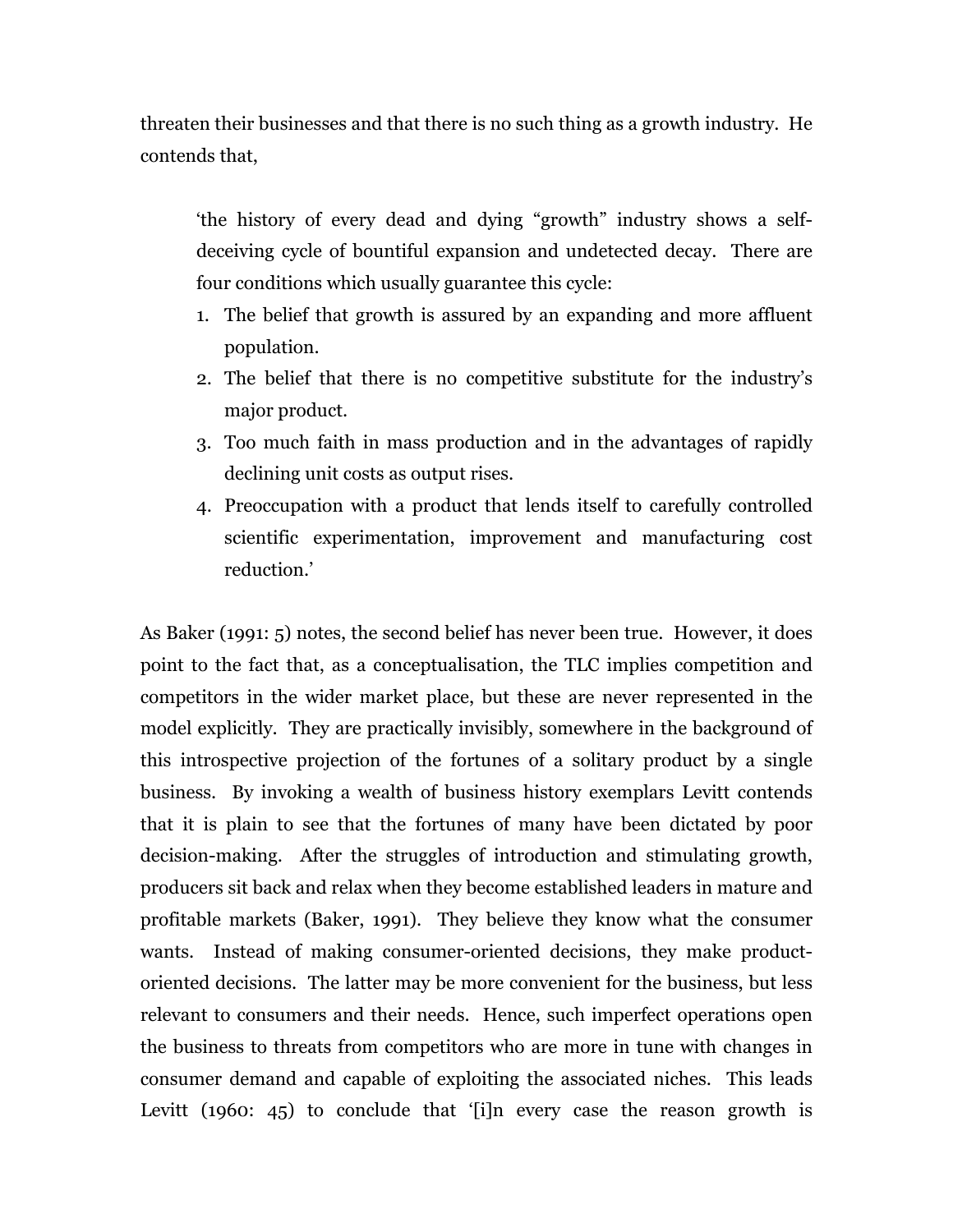threaten their businesses and that there is no such thing as a growth industry. He contends that,

'the history of every dead and dying "growth" industry shows a selfdeceiving cycle of bountiful expansion and undetected decay. There are four conditions which usually guarantee this cycle:

- 1. The belief that growth is assured by an expanding and more affluent population.
- 2. The belief that there is no competitive substitute for the industry's major product.
- 3. Too much faith in mass production and in the advantages of rapidly declining unit costs as output rises.
- 4. Preoccupation with a product that lends itself to carefully controlled scientific experimentation, improvement and manufacturing cost reduction.'

As Baker (1991: 5) notes, the second belief has never been true. However, it does point to the fact that, as a conceptualisation, the TLC implies competition and competitors in the wider market place, but these are never represented in the model explicitly. They are practically invisibly, somewhere in the background of this introspective projection of the fortunes of a solitary product by a single business. By invoking a wealth of business history exemplars Levitt contends that it is plain to see that the fortunes of many have been dictated by poor decision-making. After the struggles of introduction and stimulating growth, producers sit back and relax when they become established leaders in mature and profitable markets (Baker, 1991). They believe they know what the consumer wants. Instead of making consumer-oriented decisions, they make productoriented decisions. The latter may be more convenient for the business, but less relevant to consumers and their needs. Hence, such imperfect operations open the business to threats from competitors who are more in tune with changes in consumer demand and capable of exploiting the associated niches. This leads Levitt (1960: 45) to conclude that  $\lceil \cdot \rceil$  every case the reason growth is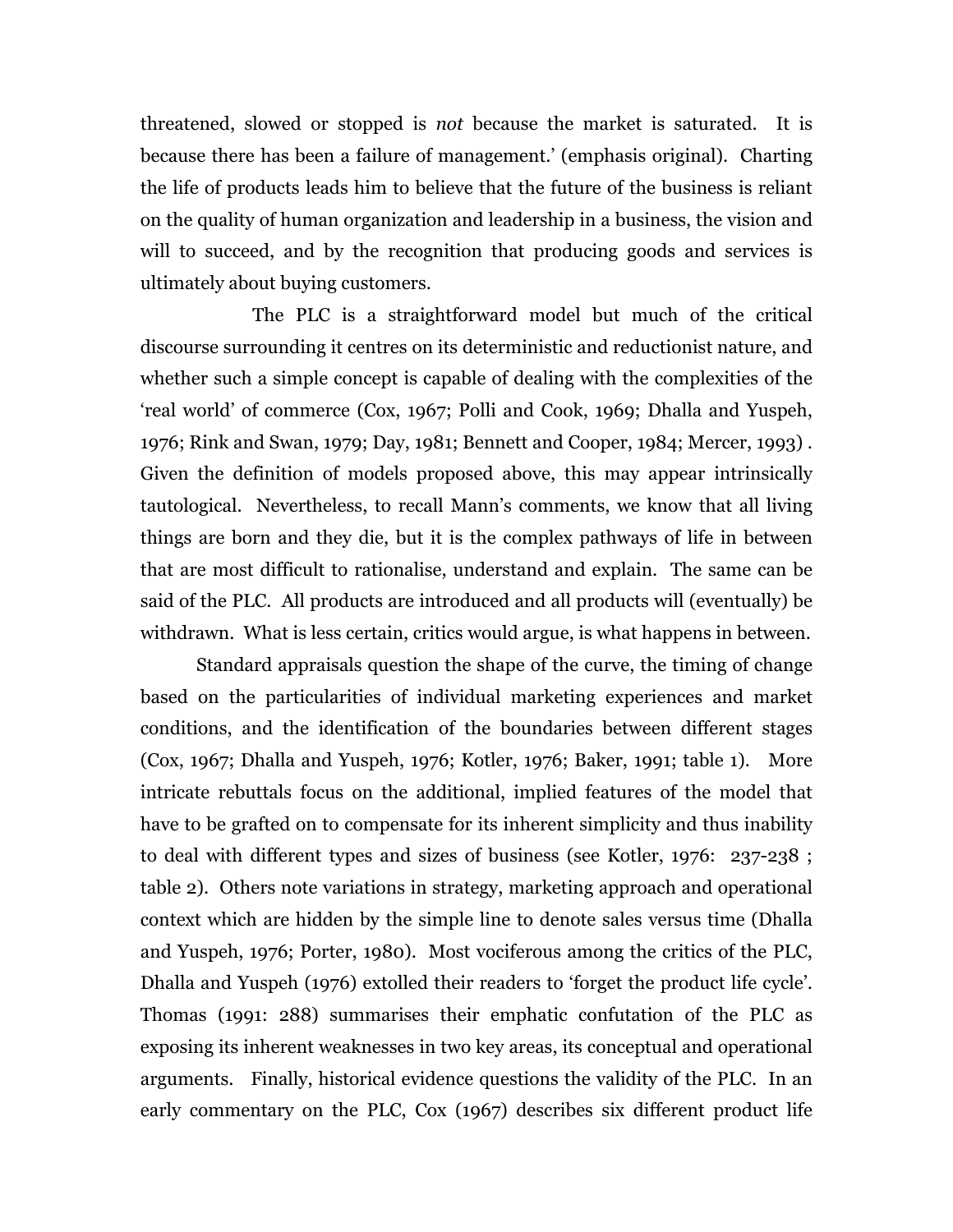threatened, slowed or stopped is *not* because the market is saturated. It is because there has been a failure of management.' (emphasis original). Charting the life of products leads him to believe that the future of the business is reliant on the quality of human organization and leadership in a business, the vision and will to succeed, and by the recognition that producing goods and services is ultimately about buying customers.

The PLC is a straightforward model but much of the critical discourse surrounding it centres on its deterministic and reductionist nature, and whether such a simple concept is capable of dealing with the complexities of the 'real world' of commerce (Cox, 1967; Polli and Cook, 1969; Dhalla and Yuspeh, 1976; Rink and Swan, 1979; Day, 1981; Bennett and Cooper, 1984; Mercer, 1993) . Given the definition of models proposed above, this may appear intrinsically tautological. Nevertheless, to recall Mann's comments, we know that all living things are born and they die, but it is the complex pathways of life in between that are most difficult to rationalise, understand and explain. The same can be said of the PLC. All products are introduced and all products will (eventually) be withdrawn. What is less certain, critics would argue, is what happens in between.

Standard appraisals question the shape of the curve, the timing of change based on the particularities of individual marketing experiences and market conditions, and the identification of the boundaries between different stages (Cox, 1967; Dhalla and Yuspeh, 1976; Kotler, 1976; Baker, 1991; table 1). More intricate rebuttals focus on the additional, implied features of the model that have to be grafted on to compensate for its inherent simplicity and thus inability to deal with different types and sizes of business (see Kotler, 1976: 237-238 ; table 2). Others note variations in strategy, marketing approach and operational context which are hidden by the simple line to denote sales versus time (Dhalla and Yuspeh, 1976; Porter, 1980). Most vociferous among the critics of the PLC, Dhalla and Yuspeh (1976) extolled their readers to 'forget the product life cycle'. Thomas (1991: 288) summarises their emphatic confutation of the PLC as exposing its inherent weaknesses in two key areas, its conceptual and operational arguments. Finally, historical evidence questions the validity of the PLC. In an early commentary on the PLC, Cox (1967) describes six different product life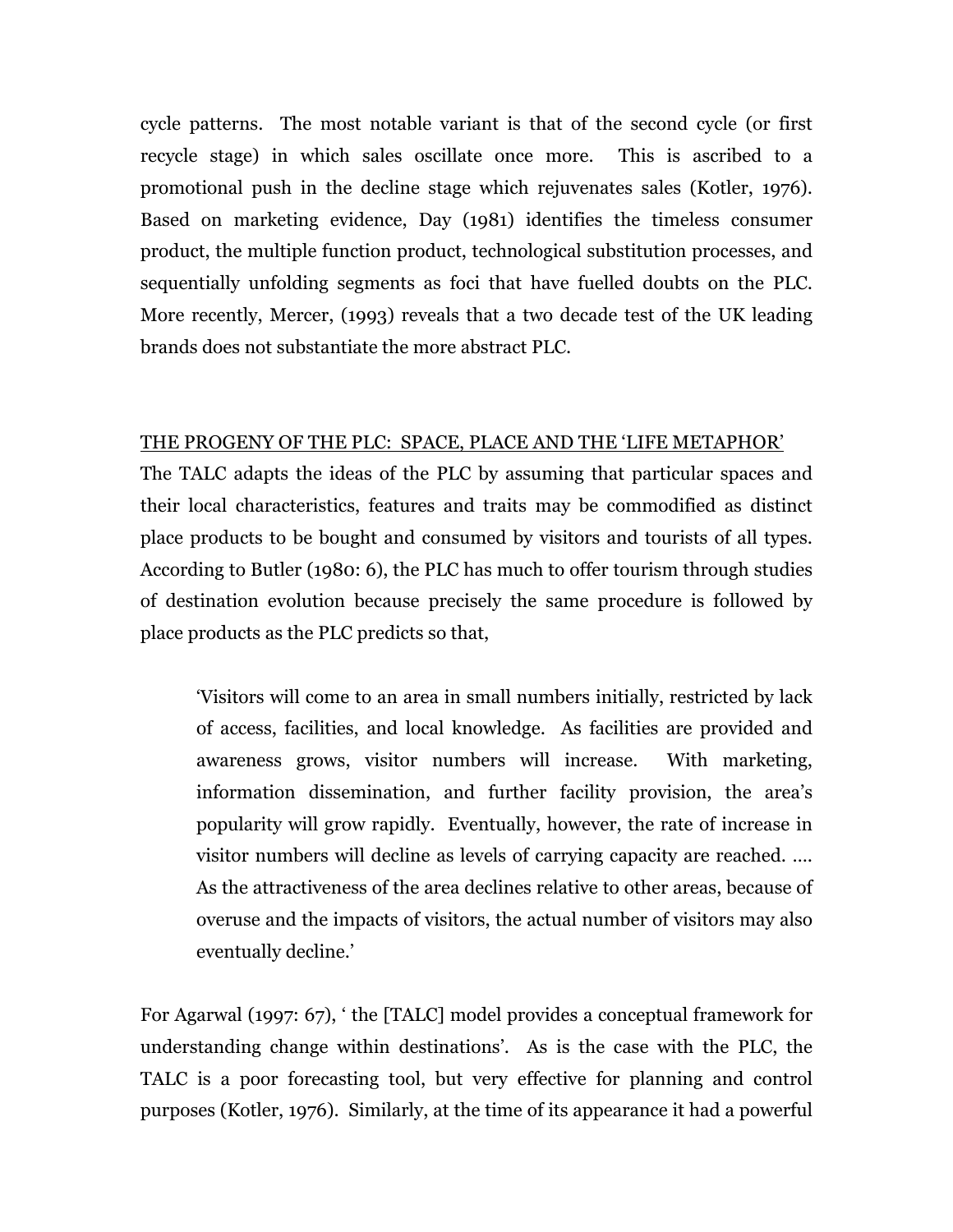cycle patterns. The most notable variant is that of the second cycle (or first recycle stage) in which sales oscillate once more. This is ascribed to a promotional push in the decline stage which rejuvenates sales (Kotler, 1976). Based on marketing evidence, Day (1981) identifies the timeless consumer product, the multiple function product, technological substitution processes, and sequentially unfolding segments as foci that have fuelled doubts on the PLC. More recently, Mercer, (1993) reveals that a two decade test of the UK leading brands does not substantiate the more abstract PLC.

### THE PROGENY OF THE PLC: SPACE, PLACE AND THE 'LIFE METAPHOR'

The TALC adapts the ideas of the PLC by assuming that particular spaces and their local characteristics, features and traits may be commodified as distinct place products to be bought and consumed by visitors and tourists of all types. According to Butler (1980: 6), the PLC has much to offer tourism through studies of destination evolution because precisely the same procedure is followed by place products as the PLC predicts so that,

'Visitors will come to an area in small numbers initially, restricted by lack of access, facilities, and local knowledge. As facilities are provided and awareness grows, visitor numbers will increase. With marketing, information dissemination, and further facility provision, the area's popularity will grow rapidly. Eventually, however, the rate of increase in visitor numbers will decline as levels of carrying capacity are reached. …. As the attractiveness of the area declines relative to other areas, because of overuse and the impacts of visitors, the actual number of visitors may also eventually decline.'

For Agarwal (1997: 67), ' the [TALC] model provides a conceptual framework for understanding change within destinations'. As is the case with the PLC, the TALC is a poor forecasting tool, but very effective for planning and control purposes (Kotler, 1976). Similarly, at the time of its appearance it had a powerful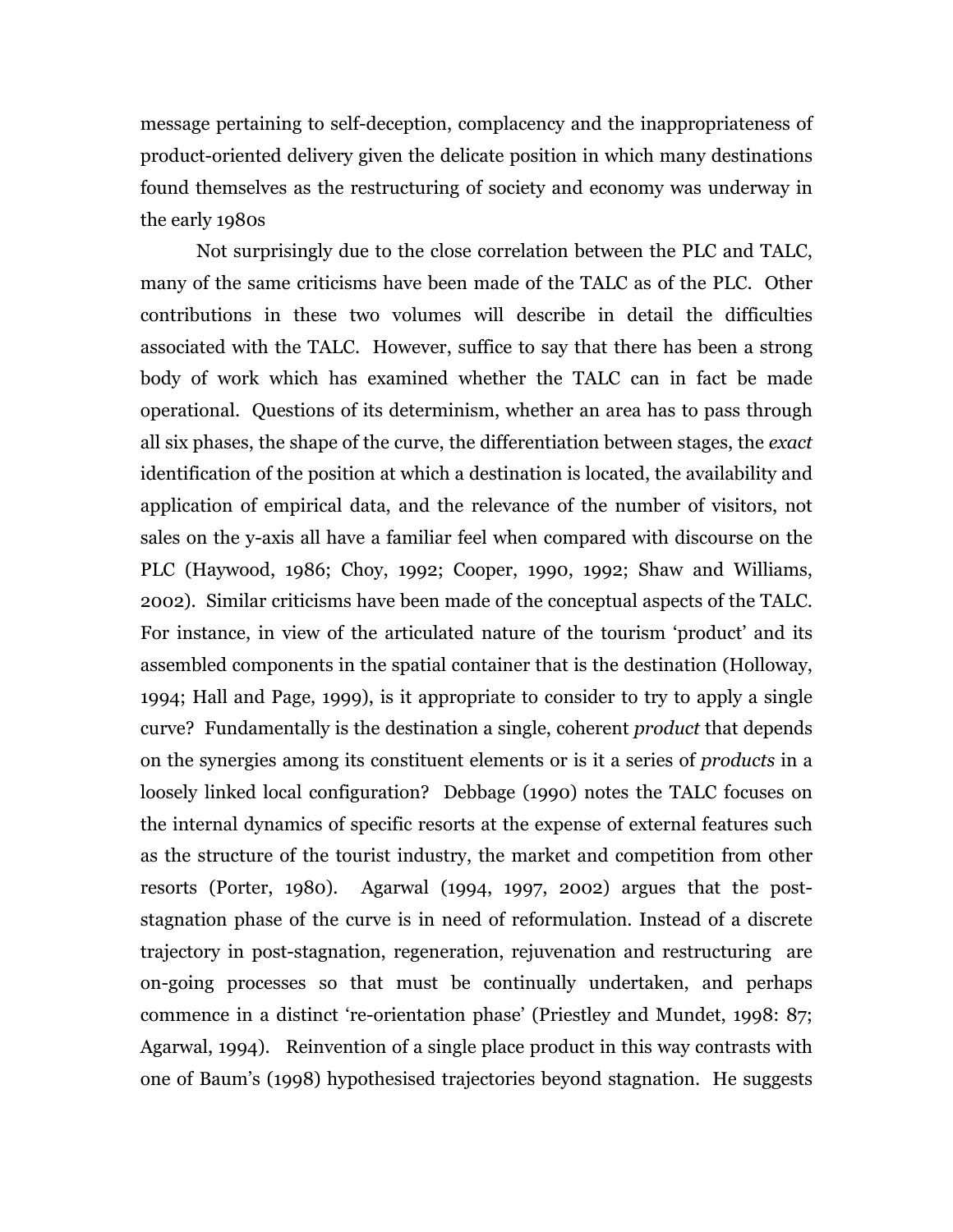message pertaining to self-deception, complacency and the inappropriateness of product-oriented delivery given the delicate position in which many destinations found themselves as the restructuring of society and economy was underway in the early 1980s

Not surprisingly due to the close correlation between the PLC and TALC, many of the same criticisms have been made of the TALC as of the PLC. Other contributions in these two volumes will describe in detail the difficulties associated with the TALC. However, suffice to say that there has been a strong body of work which has examined whether the TALC can in fact be made operational. Questions of its determinism, whether an area has to pass through all six phases, the shape of the curve, the differentiation between stages, the *exact* identification of the position at which a destination is located, the availability and application of empirical data, and the relevance of the number of visitors, not sales on the y-axis all have a familiar feel when compared with discourse on the PLC (Haywood, 1986; Choy, 1992; Cooper, 1990, 1992; Shaw and Williams, 2002). Similar criticisms have been made of the conceptual aspects of the TALC. For instance, in view of the articulated nature of the tourism 'product' and its assembled components in the spatial container that is the destination (Holloway, 1994; Hall and Page, 1999), is it appropriate to consider to try to apply a single curve? Fundamentally is the destination a single, coherent *product* that depends on the synergies among its constituent elements or is it a series of *products* in a loosely linked local configuration? Debbage (1990) notes the TALC focuses on the internal dynamics of specific resorts at the expense of external features such as the structure of the tourist industry, the market and competition from other resorts (Porter, 1980). Agarwal (1994, 1997, 2002) argues that the poststagnation phase of the curve is in need of reformulation. Instead of a discrete trajectory in post-stagnation, regeneration, rejuvenation and restructuring are on-going processes so that must be continually undertaken, and perhaps commence in a distinct 're-orientation phase' (Priestley and Mundet, 1998: 87; Agarwal, 1994). Reinvention of a single place product in this way contrasts with one of Baum's (1998) hypothesised trajectories beyond stagnation. He suggests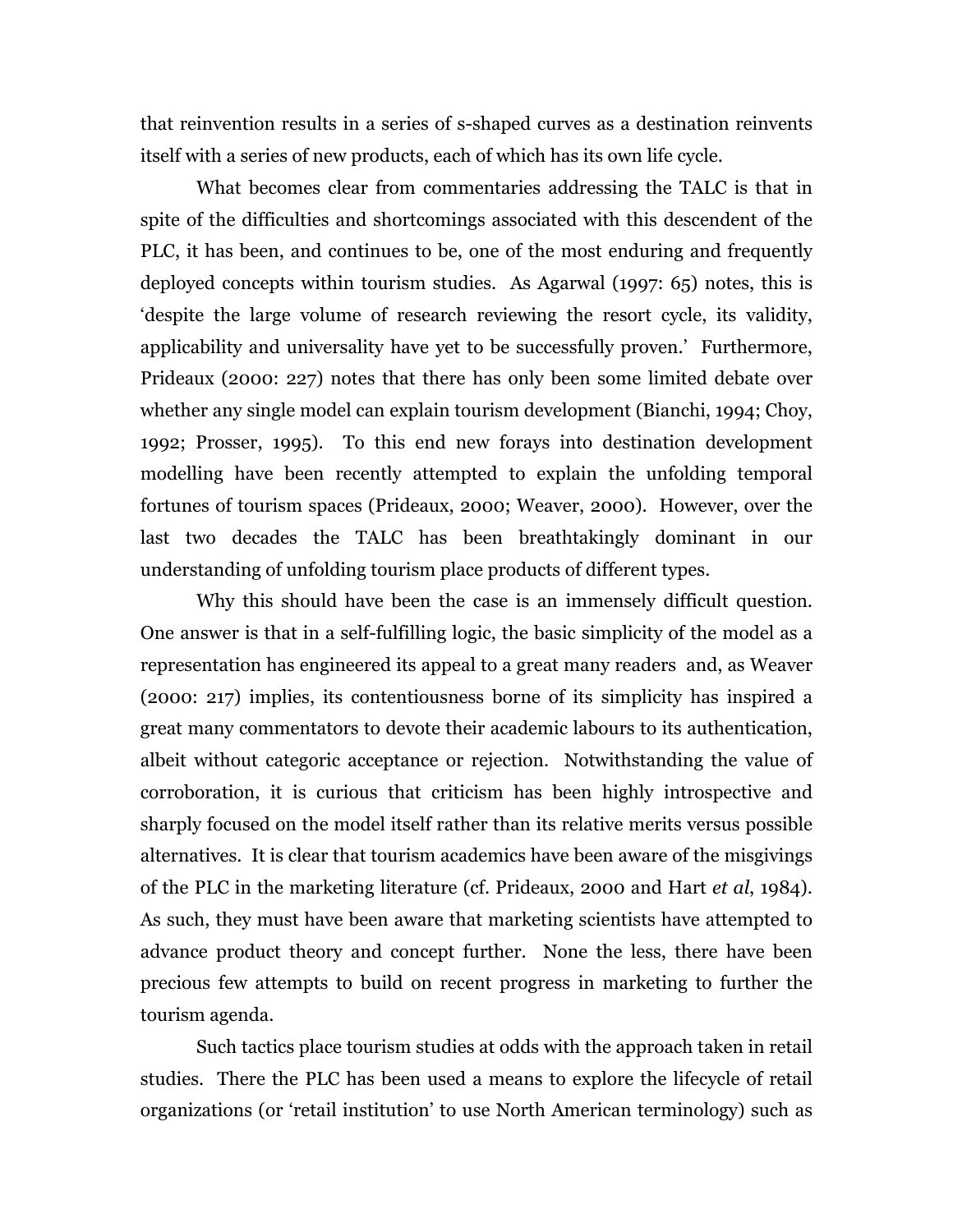that reinvention results in a series of s-shaped curves as a destination reinvents itself with a series of new products, each of which has its own life cycle.

What becomes clear from commentaries addressing the TALC is that in spite of the difficulties and shortcomings associated with this descendent of the PLC, it has been, and continues to be, one of the most enduring and frequently deployed concepts within tourism studies. As Agarwal (1997: 65) notes, this is 'despite the large volume of research reviewing the resort cycle, its validity, applicability and universality have yet to be successfully proven.' Furthermore, Prideaux (2000: 227) notes that there has only been some limited debate over whether any single model can explain tourism development (Bianchi, 1994; Choy, 1992; Prosser, 1995). To this end new forays into destination development modelling have been recently attempted to explain the unfolding temporal fortunes of tourism spaces (Prideaux, 2000; Weaver, 2000). However, over the last two decades the TALC has been breathtakingly dominant in our understanding of unfolding tourism place products of different types.

Why this should have been the case is an immensely difficult question. One answer is that in a self-fulfilling logic, the basic simplicity of the model as a representation has engineered its appeal to a great many readers and, as Weaver (2000: 217) implies, its contentiousness borne of its simplicity has inspired a great many commentators to devote their academic labours to its authentication, albeit without categoric acceptance or rejection. Notwithstanding the value of corroboration, it is curious that criticism has been highly introspective and sharply focused on the model itself rather than its relative merits versus possible alternatives. It is clear that tourism academics have been aware of the misgivings of the PLC in the marketing literature (cf. Prideaux, 2000 and Hart *et al*, 1984). As such, they must have been aware that marketing scientists have attempted to advance product theory and concept further. None the less, there have been precious few attempts to build on recent progress in marketing to further the tourism agenda.

Such tactics place tourism studies at odds with the approach taken in retail studies. There the PLC has been used a means to explore the lifecycle of retail organizations (or 'retail institution' to use North American terminology) such as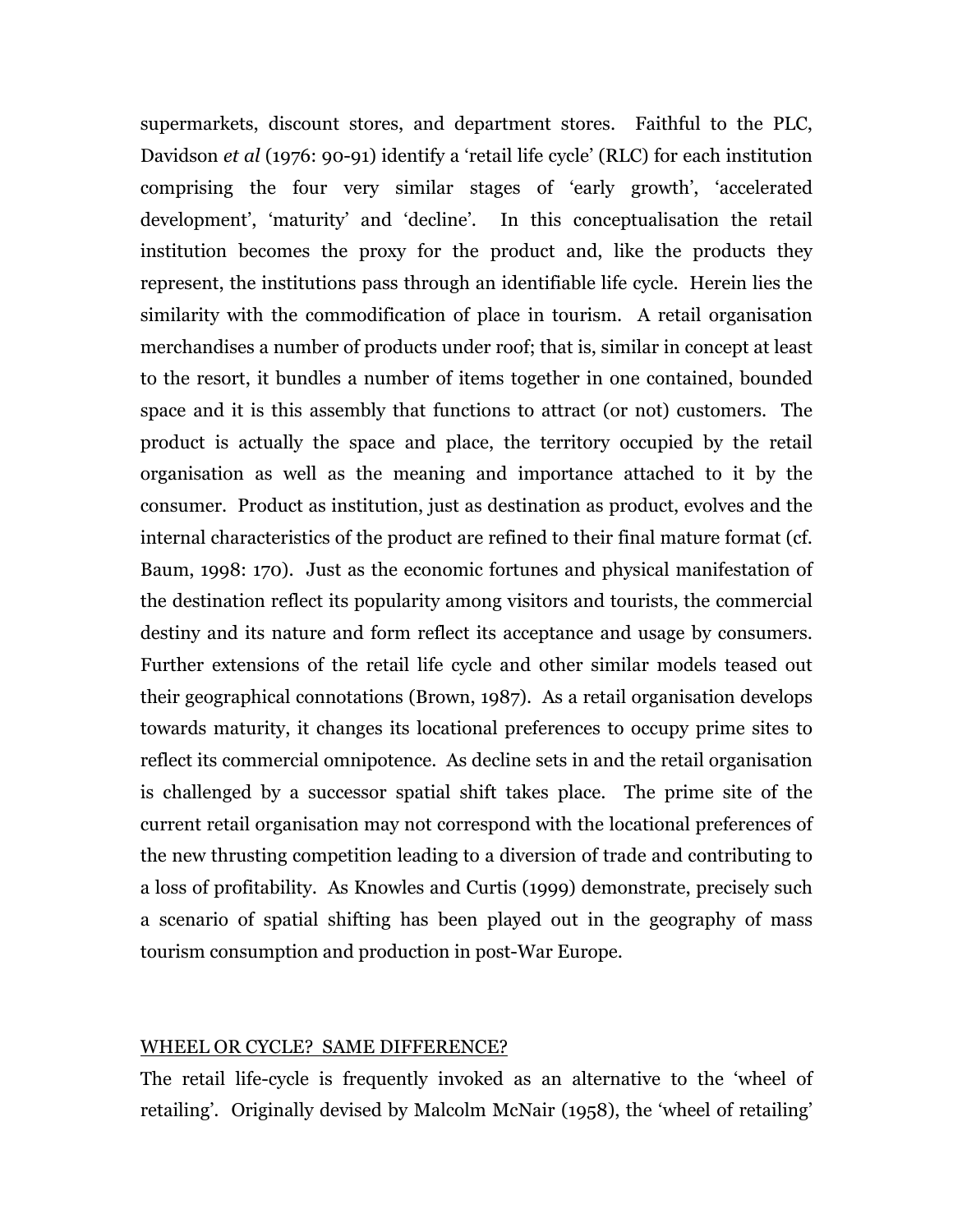supermarkets, discount stores, and department stores. Faithful to the PLC, Davidson *et al* (1976: 90-91) identify a 'retail life cycle' (RLC) for each institution comprising the four very similar stages of 'early growth', 'accelerated development', 'maturity' and 'decline'. In this conceptualisation the retail institution becomes the proxy for the product and, like the products they represent, the institutions pass through an identifiable life cycle. Herein lies the similarity with the commodification of place in tourism. A retail organisation merchandises a number of products under roof; that is, similar in concept at least to the resort, it bundles a number of items together in one contained, bounded space and it is this assembly that functions to attract (or not) customers. The product is actually the space and place, the territory occupied by the retail organisation as well as the meaning and importance attached to it by the consumer. Product as institution, just as destination as product, evolves and the internal characteristics of the product are refined to their final mature format (cf. Baum, 1998: 170). Just as the economic fortunes and physical manifestation of the destination reflect its popularity among visitors and tourists, the commercial destiny and its nature and form reflect its acceptance and usage by consumers. Further extensions of the retail life cycle and other similar models teased out their geographical connotations (Brown, 1987). As a retail organisation develops towards maturity, it changes its locational preferences to occupy prime sites to reflect its commercial omnipotence. As decline sets in and the retail organisation is challenged by a successor spatial shift takes place. The prime site of the current retail organisation may not correspond with the locational preferences of the new thrusting competition leading to a diversion of trade and contributing to a loss of profitability. As Knowles and Curtis (1999) demonstrate, precisely such a scenario of spatial shifting has been played out in the geography of mass tourism consumption and production in post-War Europe.

#### WHEEL OR CYCLE? SAME DIFFERENCE?

The retail life-cycle is frequently invoked as an alternative to the 'wheel of retailing'. Originally devised by Malcolm McNair (1958), the 'wheel of retailing'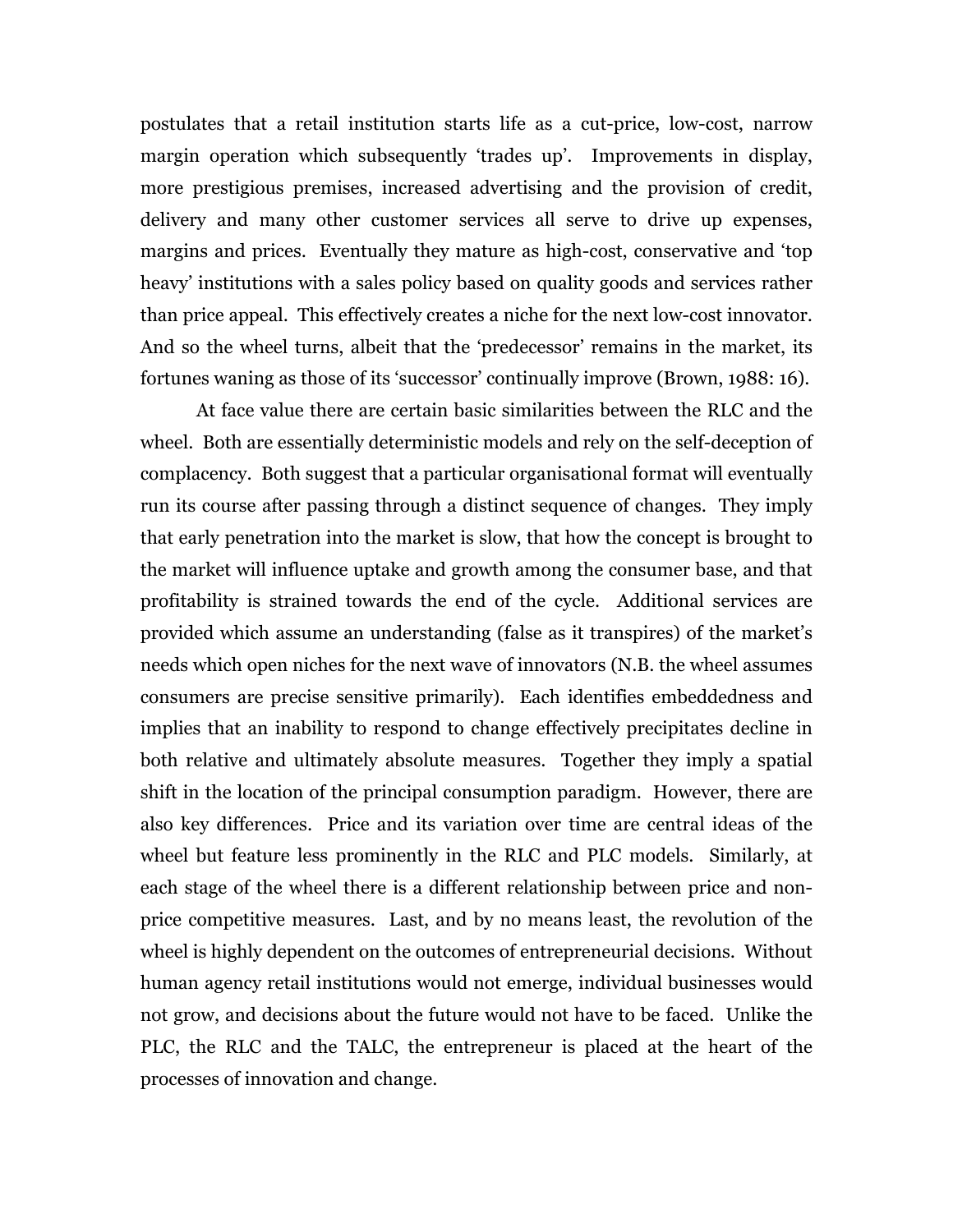postulates that a retail institution starts life as a cut-price, low-cost, narrow margin operation which subsequently 'trades up'. Improvements in display, more prestigious premises, increased advertising and the provision of credit, delivery and many other customer services all serve to drive up expenses, margins and prices. Eventually they mature as high-cost, conservative and 'top heavy' institutions with a sales policy based on quality goods and services rather than price appeal. This effectively creates a niche for the next low-cost innovator. And so the wheel turns, albeit that the 'predecessor' remains in the market, its fortunes waning as those of its 'successor' continually improve (Brown, 1988: 16).

At face value there are certain basic similarities between the RLC and the wheel. Both are essentially deterministic models and rely on the self-deception of complacency. Both suggest that a particular organisational format will eventually run its course after passing through a distinct sequence of changes. They imply that early penetration into the market is slow, that how the concept is brought to the market will influence uptake and growth among the consumer base, and that profitability is strained towards the end of the cycle. Additional services are provided which assume an understanding (false as it transpires) of the market's needs which open niches for the next wave of innovators (N.B. the wheel assumes consumers are precise sensitive primarily). Each identifies embeddedness and implies that an inability to respond to change effectively precipitates decline in both relative and ultimately absolute measures. Together they imply a spatial shift in the location of the principal consumption paradigm. However, there are also key differences. Price and its variation over time are central ideas of the wheel but feature less prominently in the RLC and PLC models. Similarly, at each stage of the wheel there is a different relationship between price and nonprice competitive measures. Last, and by no means least, the revolution of the wheel is highly dependent on the outcomes of entrepreneurial decisions. Without human agency retail institutions would not emerge, individual businesses would not grow, and decisions about the future would not have to be faced. Unlike the PLC, the RLC and the TALC, the entrepreneur is placed at the heart of the processes of innovation and change.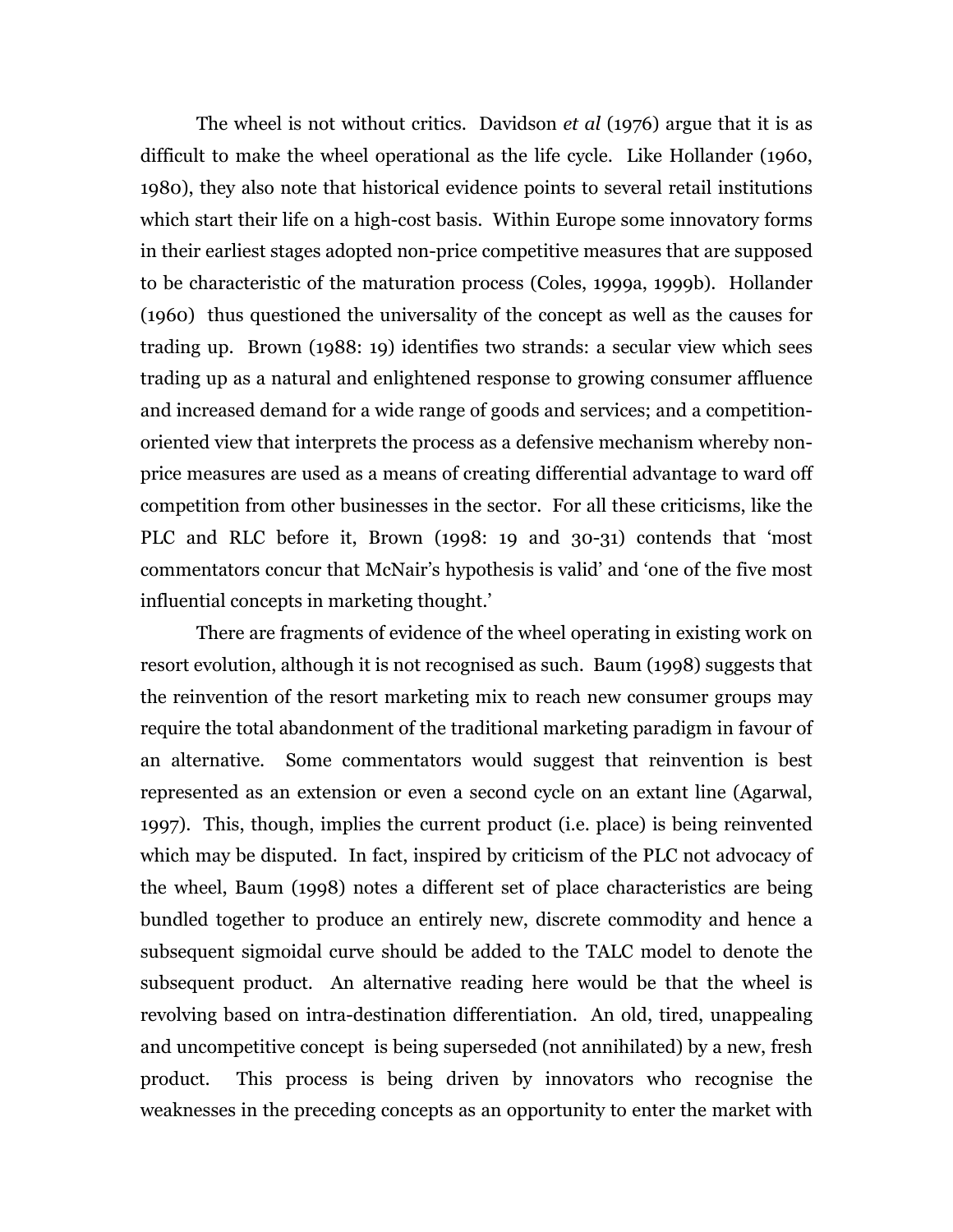The wheel is not without critics. Davidson *et al* (1976) argue that it is as difficult to make the wheel operational as the life cycle. Like Hollander (1960, 1980), they also note that historical evidence points to several retail institutions which start their life on a high-cost basis. Within Europe some innovatory forms in their earliest stages adopted non-price competitive measures that are supposed to be characteristic of the maturation process (Coles, 1999a, 1999b). Hollander (1960) thus questioned the universality of the concept as well as the causes for trading up. Brown (1988: 19) identifies two strands: a secular view which sees trading up as a natural and enlightened response to growing consumer affluence and increased demand for a wide range of goods and services; and a competitionoriented view that interprets the process as a defensive mechanism whereby nonprice measures are used as a means of creating differential advantage to ward off competition from other businesses in the sector. For all these criticisms, like the PLC and RLC before it, Brown (1998: 19 and 30-31) contends that 'most commentators concur that McNair's hypothesis is valid' and 'one of the five most influential concepts in marketing thought.'

There are fragments of evidence of the wheel operating in existing work on resort evolution, although it is not recognised as such. Baum (1998) suggests that the reinvention of the resort marketing mix to reach new consumer groups may require the total abandonment of the traditional marketing paradigm in favour of an alternative. Some commentators would suggest that reinvention is best represented as an extension or even a second cycle on an extant line (Agarwal, 1997). This, though, implies the current product (i.e. place) is being reinvented which may be disputed. In fact, inspired by criticism of the PLC not advocacy of the wheel, Baum (1998) notes a different set of place characteristics are being bundled together to produce an entirely new, discrete commodity and hence a subsequent sigmoidal curve should be added to the TALC model to denote the subsequent product. An alternative reading here would be that the wheel is revolving based on intra-destination differentiation. An old, tired, unappealing and uncompetitive concept is being superseded (not annihilated) by a new, fresh product. This process is being driven by innovators who recognise the weaknesses in the preceding concepts as an opportunity to enter the market with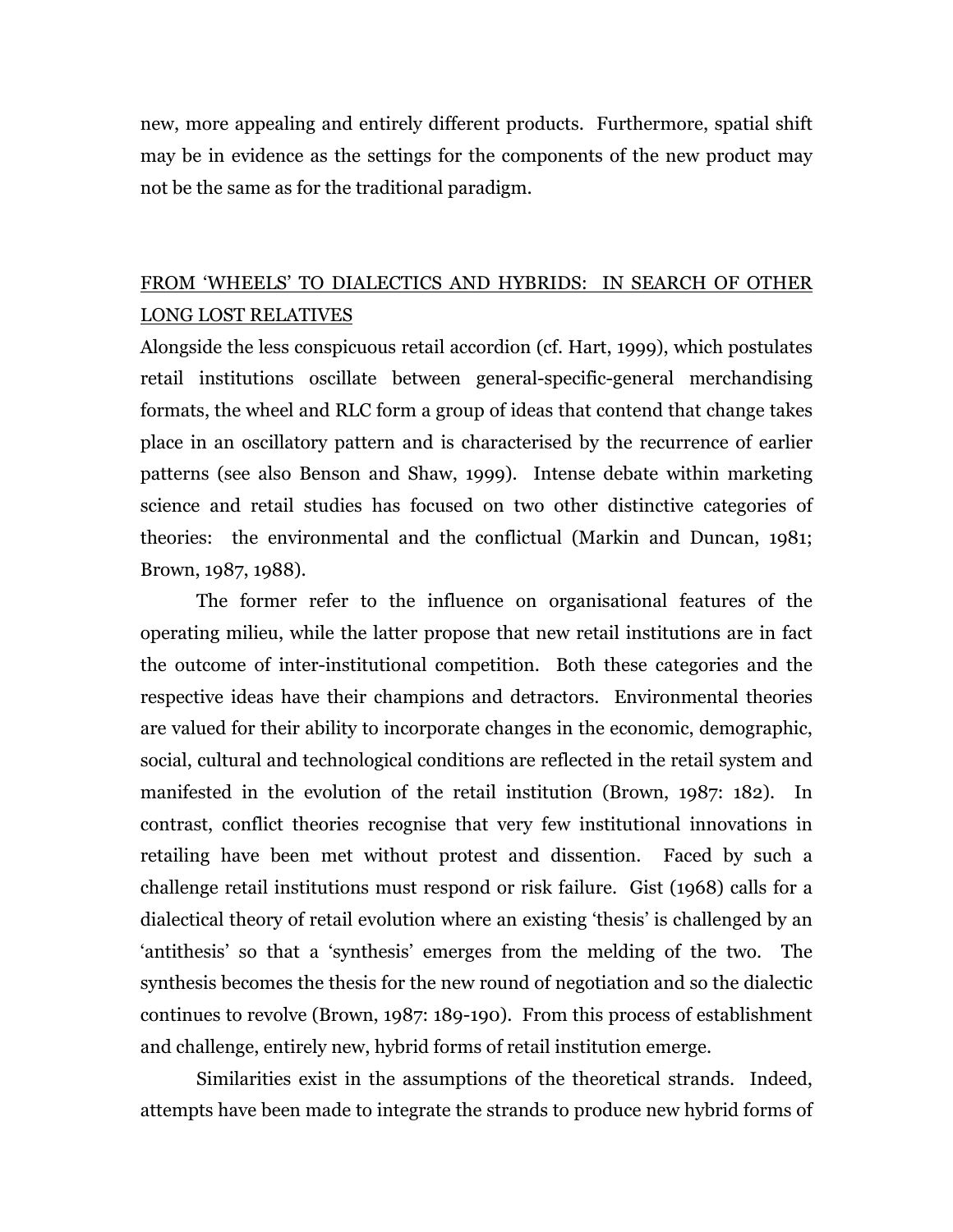new, more appealing and entirely different products. Furthermore, spatial shift may be in evidence as the settings for the components of the new product may not be the same as for the traditional paradigm.

# FROM 'WHEELS' TO DIALECTICS AND HYBRIDS: IN SEARCH OF OTHER LONG LOST RELATIVES

Alongside the less conspicuous retail accordion (cf. Hart, 1999), which postulates retail institutions oscillate between general-specific-general merchandising formats, the wheel and RLC form a group of ideas that contend that change takes place in an oscillatory pattern and is characterised by the recurrence of earlier patterns (see also Benson and Shaw, 1999). Intense debate within marketing science and retail studies has focused on two other distinctive categories of theories: the environmental and the conflictual (Markin and Duncan, 1981; Brown, 1987, 1988).

The former refer to the influence on organisational features of the operating milieu, while the latter propose that new retail institutions are in fact the outcome of inter-institutional competition. Both these categories and the respective ideas have their champions and detractors. Environmental theories are valued for their ability to incorporate changes in the economic, demographic, social, cultural and technological conditions are reflected in the retail system and manifested in the evolution of the retail institution (Brown, 1987: 182). In contrast, conflict theories recognise that very few institutional innovations in retailing have been met without protest and dissention. Faced by such a challenge retail institutions must respond or risk failure. Gist (1968) calls for a dialectical theory of retail evolution where an existing 'thesis' is challenged by an 'antithesis' so that a 'synthesis' emerges from the melding of the two. The synthesis becomes the thesis for the new round of negotiation and so the dialectic continues to revolve (Brown, 1987: 189-190). From this process of establishment and challenge, entirely new, hybrid forms of retail institution emerge.

Similarities exist in the assumptions of the theoretical strands. Indeed, attempts have been made to integrate the strands to produce new hybrid forms of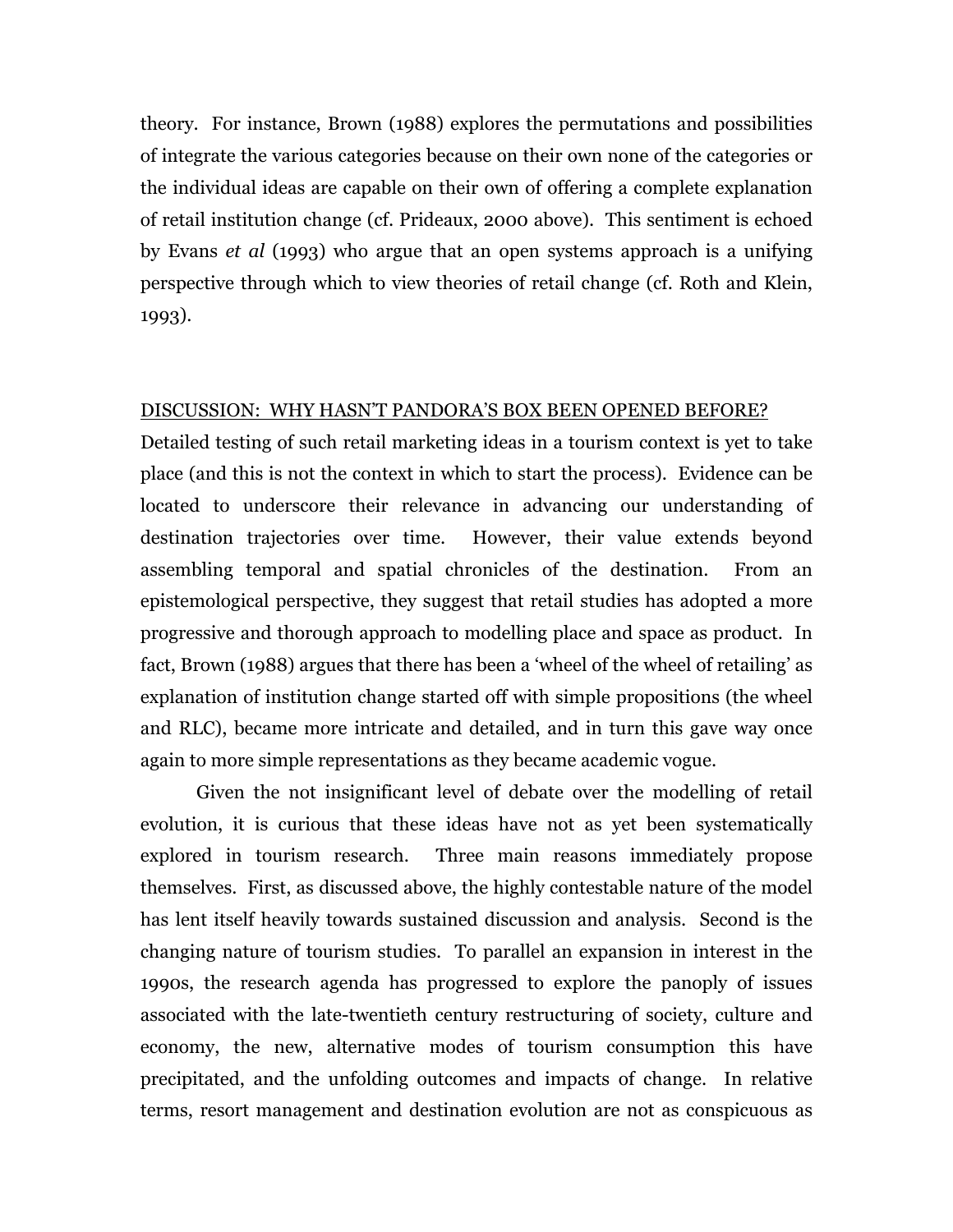theory. For instance, Brown (1988) explores the permutations and possibilities of integrate the various categories because on their own none of the categories or the individual ideas are capable on their own of offering a complete explanation of retail institution change (cf. Prideaux, 2000 above). This sentiment is echoed by Evans *et al* (1993) who argue that an open systems approach is a unifying perspective through which to view theories of retail change (cf. Roth and Klein, 1993).

#### DISCUSSION: WHY HASN'T PANDORA'S BOX BEEN OPENED BEFORE?

Detailed testing of such retail marketing ideas in a tourism context is yet to take place (and this is not the context in which to start the process). Evidence can be located to underscore their relevance in advancing our understanding of destination trajectories over time. However, their value extends beyond assembling temporal and spatial chronicles of the destination. From an epistemological perspective, they suggest that retail studies has adopted a more progressive and thorough approach to modelling place and space as product. In fact, Brown (1988) argues that there has been a 'wheel of the wheel of retailing' as explanation of institution change started off with simple propositions (the wheel and RLC), became more intricate and detailed, and in turn this gave way once again to more simple representations as they became academic vogue.

Given the not insignificant level of debate over the modelling of retail evolution, it is curious that these ideas have not as yet been systematically explored in tourism research. Three main reasons immediately propose themselves. First, as discussed above, the highly contestable nature of the model has lent itself heavily towards sustained discussion and analysis. Second is the changing nature of tourism studies. To parallel an expansion in interest in the 1990s, the research agenda has progressed to explore the panoply of issues associated with the late-twentieth century restructuring of society, culture and economy, the new, alternative modes of tourism consumption this have precipitated, and the unfolding outcomes and impacts of change. In relative terms, resort management and destination evolution are not as conspicuous as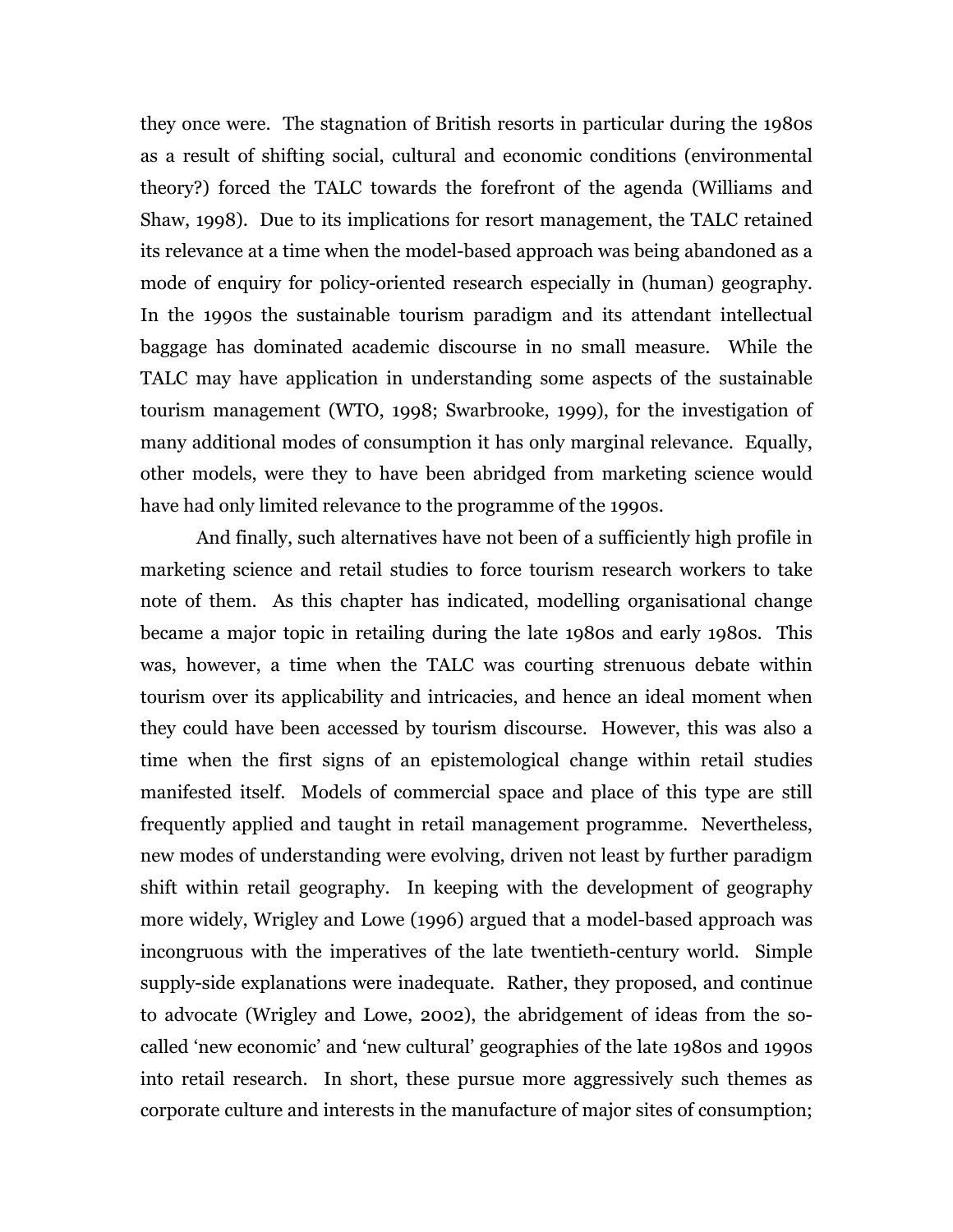they once were. The stagnation of British resorts in particular during the 1980s as a result of shifting social, cultural and economic conditions (environmental theory?) forced the TALC towards the forefront of the agenda (Williams and Shaw, 1998). Due to its implications for resort management, the TALC retained its relevance at a time when the model-based approach was being abandoned as a mode of enquiry for policy-oriented research especially in (human) geography. In the 1990s the sustainable tourism paradigm and its attendant intellectual baggage has dominated academic discourse in no small measure. While the TALC may have application in understanding some aspects of the sustainable tourism management (WTO, 1998; Swarbrooke, 1999), for the investigation of many additional modes of consumption it has only marginal relevance. Equally, other models, were they to have been abridged from marketing science would have had only limited relevance to the programme of the 1990s.

And finally, such alternatives have not been of a sufficiently high profile in marketing science and retail studies to force tourism research workers to take note of them. As this chapter has indicated, modelling organisational change became a major topic in retailing during the late 1980s and early 1980s. This was, however, a time when the TALC was courting strenuous debate within tourism over its applicability and intricacies, and hence an ideal moment when they could have been accessed by tourism discourse. However, this was also a time when the first signs of an epistemological change within retail studies manifested itself. Models of commercial space and place of this type are still frequently applied and taught in retail management programme. Nevertheless, new modes of understanding were evolving, driven not least by further paradigm shift within retail geography. In keeping with the development of geography more widely, Wrigley and Lowe (1996) argued that a model-based approach was incongruous with the imperatives of the late twentieth-century world. Simple supply-side explanations were inadequate. Rather, they proposed, and continue to advocate (Wrigley and Lowe, 2002), the abridgement of ideas from the socalled 'new economic' and 'new cultural' geographies of the late 1980s and 1990s into retail research. In short, these pursue more aggressively such themes as corporate culture and interests in the manufacture of major sites of consumption;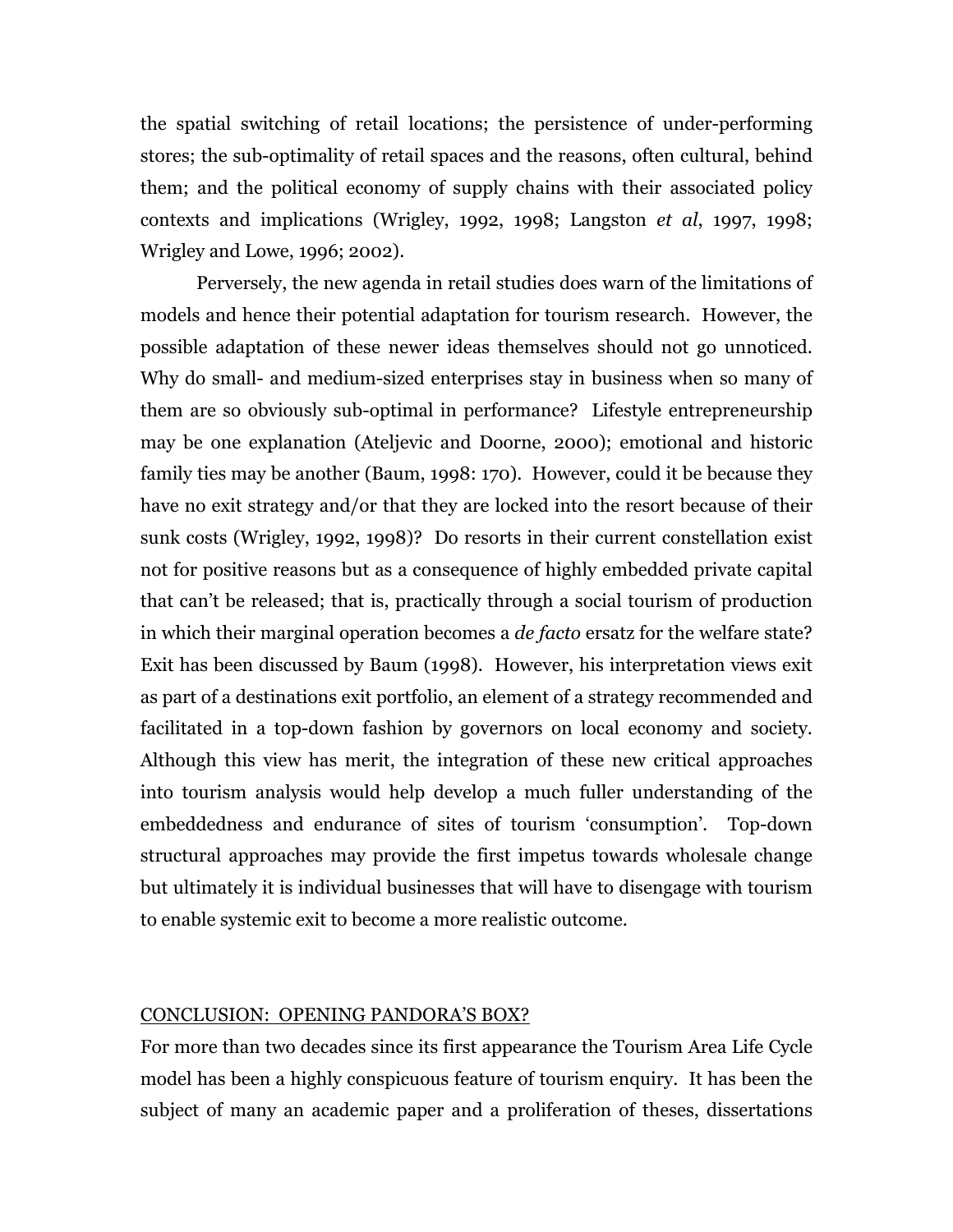the spatial switching of retail locations; the persistence of under-performing stores; the sub-optimality of retail spaces and the reasons, often cultural, behind them; and the political economy of supply chains with their associated policy contexts and implications (Wrigley, 1992, 1998; Langston *et al*, 1997, 1998; Wrigley and Lowe, 1996; 2002).

Perversely, the new agenda in retail studies does warn of the limitations of models and hence their potential adaptation for tourism research. However, the possible adaptation of these newer ideas themselves should not go unnoticed. Why do small- and medium-sized enterprises stay in business when so many of them are so obviously sub-optimal in performance? Lifestyle entrepreneurship may be one explanation (Ateljevic and Doorne, 2000); emotional and historic family ties may be another (Baum, 1998: 170). However, could it be because they have no exit strategy and/or that they are locked into the resort because of their sunk costs (Wrigley, 1992, 1998)? Do resorts in their current constellation exist not for positive reasons but as a consequence of highly embedded private capital that can't be released; that is, practically through a social tourism of production in which their marginal operation becomes a *de facto* ersatz for the welfare state? Exit has been discussed by Baum (1998). However, his interpretation views exit as part of a destinations exit portfolio, an element of a strategy recommended and facilitated in a top-down fashion by governors on local economy and society. Although this view has merit, the integration of these new critical approaches into tourism analysis would help develop a much fuller understanding of the embeddedness and endurance of sites of tourism 'consumption'. Top-down structural approaches may provide the first impetus towards wholesale change but ultimately it is individual businesses that will have to disengage with tourism to enable systemic exit to become a more realistic outcome.

#### CONCLUSION: OPENING PANDORA'S BOX?

For more than two decades since its first appearance the Tourism Area Life Cycle model has been a highly conspicuous feature of tourism enquiry. It has been the subject of many an academic paper and a proliferation of theses, dissertations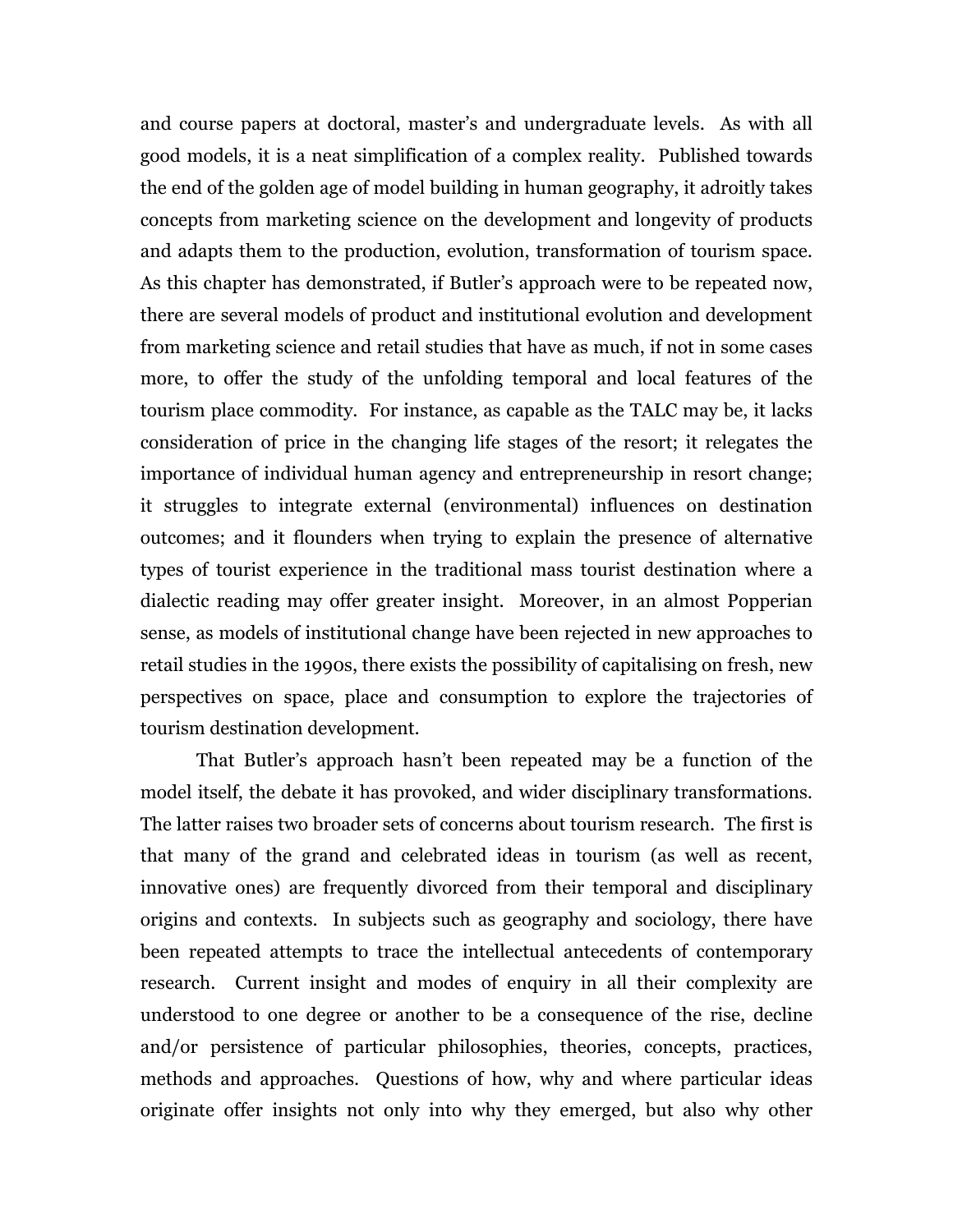and course papers at doctoral, master's and undergraduate levels. As with all good models, it is a neat simplification of a complex reality. Published towards the end of the golden age of model building in human geography, it adroitly takes concepts from marketing science on the development and longevity of products and adapts them to the production, evolution, transformation of tourism space. As this chapter has demonstrated, if Butler's approach were to be repeated now, there are several models of product and institutional evolution and development from marketing science and retail studies that have as much, if not in some cases more, to offer the study of the unfolding temporal and local features of the tourism place commodity. For instance, as capable as the TALC may be, it lacks consideration of price in the changing life stages of the resort; it relegates the importance of individual human agency and entrepreneurship in resort change; it struggles to integrate external (environmental) influences on destination outcomes; and it flounders when trying to explain the presence of alternative types of tourist experience in the traditional mass tourist destination where a dialectic reading may offer greater insight. Moreover, in an almost Popperian sense, as models of institutional change have been rejected in new approaches to retail studies in the 1990s, there exists the possibility of capitalising on fresh, new perspectives on space, place and consumption to explore the trajectories of tourism destination development.

That Butler's approach hasn't been repeated may be a function of the model itself, the debate it has provoked, and wider disciplinary transformations. The latter raises two broader sets of concerns about tourism research. The first is that many of the grand and celebrated ideas in tourism (as well as recent, innovative ones) are frequently divorced from their temporal and disciplinary origins and contexts. In subjects such as geography and sociology, there have been repeated attempts to trace the intellectual antecedents of contemporary research. Current insight and modes of enquiry in all their complexity are understood to one degree or another to be a consequence of the rise, decline and/or persistence of particular philosophies, theories, concepts, practices, methods and approaches. Questions of how, why and where particular ideas originate offer insights not only into why they emerged, but also why other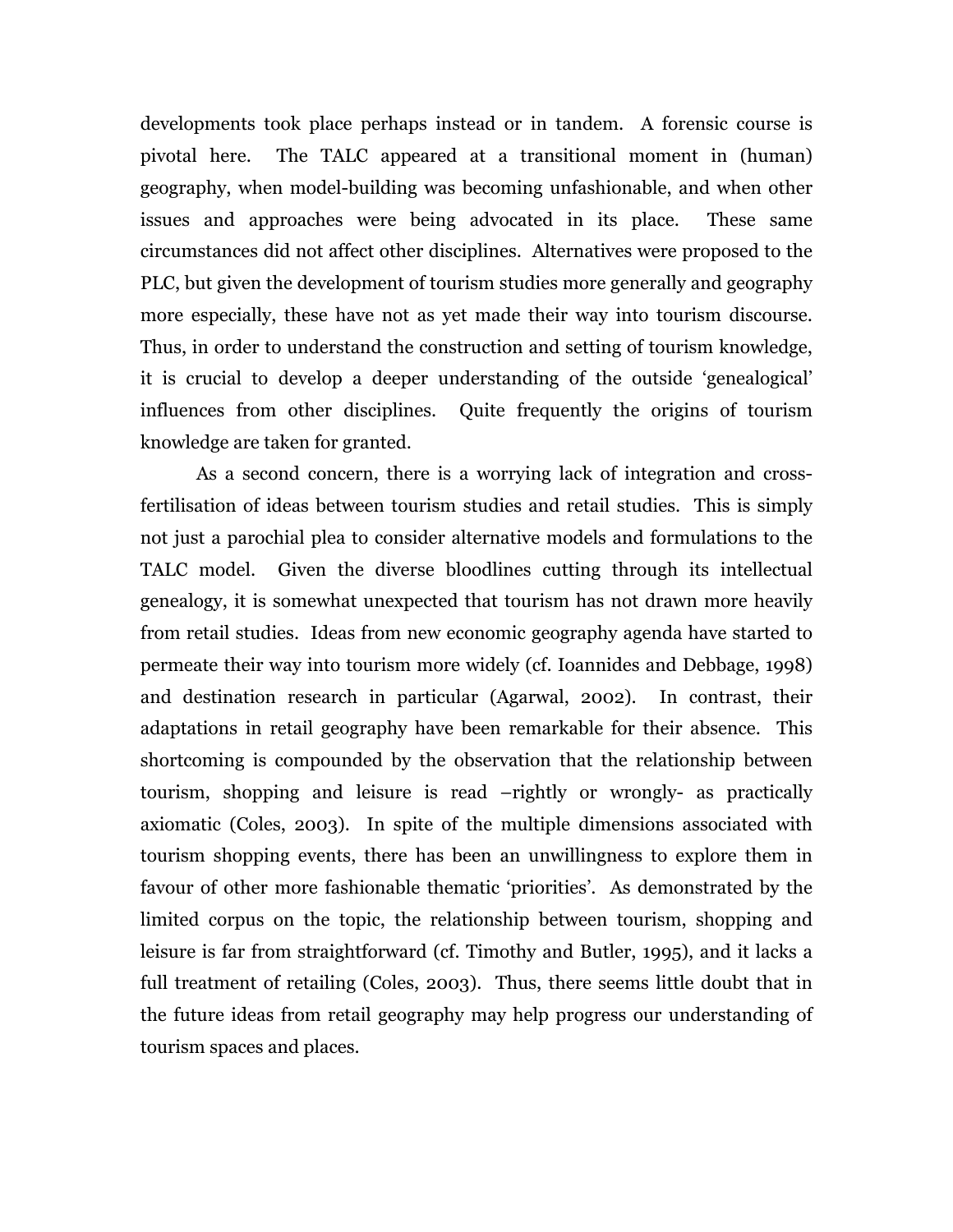developments took place perhaps instead or in tandem. A forensic course is pivotal here. The TALC appeared at a transitional moment in (human) geography, when model-building was becoming unfashionable, and when other issues and approaches were being advocated in its place. These same circumstances did not affect other disciplines. Alternatives were proposed to the PLC, but given the development of tourism studies more generally and geography more especially, these have not as yet made their way into tourism discourse. Thus, in order to understand the construction and setting of tourism knowledge, it is crucial to develop a deeper understanding of the outside 'genealogical' influences from other disciplines. Quite frequently the origins of tourism knowledge are taken for granted.

As a second concern, there is a worrying lack of integration and crossfertilisation of ideas between tourism studies and retail studies. This is simply not just a parochial plea to consider alternative models and formulations to the TALC model. Given the diverse bloodlines cutting through its intellectual genealogy, it is somewhat unexpected that tourism has not drawn more heavily from retail studies. Ideas from new economic geography agenda have started to permeate their way into tourism more widely (cf. Ioannides and Debbage, 1998) and destination research in particular (Agarwal, 2002). In contrast, their adaptations in retail geography have been remarkable for their absence. This shortcoming is compounded by the observation that the relationship between tourism, shopping and leisure is read –rightly or wrongly- as practically axiomatic (Coles, 2003). In spite of the multiple dimensions associated with tourism shopping events, there has been an unwillingness to explore them in favour of other more fashionable thematic 'priorities'. As demonstrated by the limited corpus on the topic, the relationship between tourism, shopping and leisure is far from straightforward (cf. Timothy and Butler, 1995), and it lacks a full treatment of retailing (Coles, 2003). Thus, there seems little doubt that in the future ideas from retail geography may help progress our understanding of tourism spaces and places.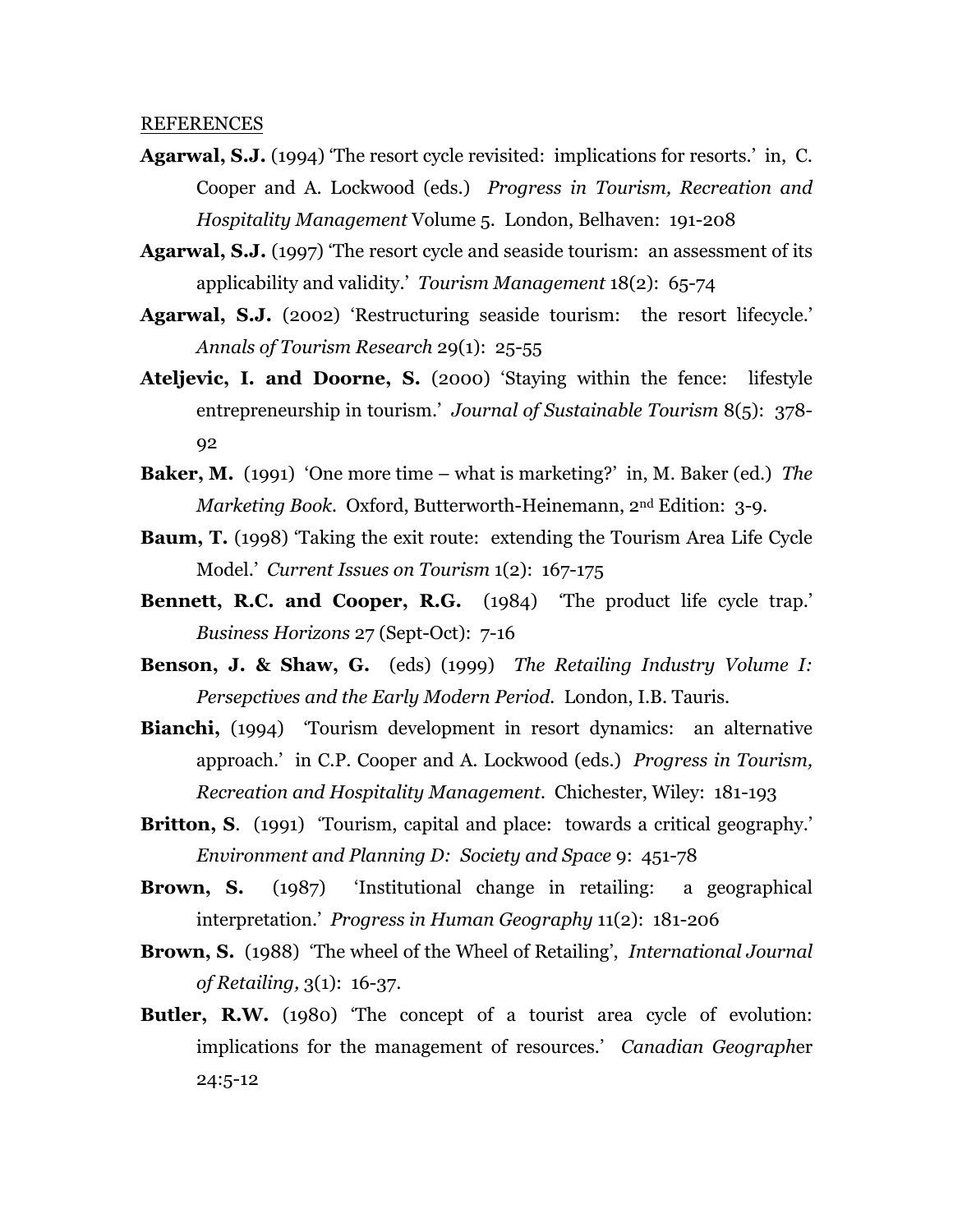REFERENCES

- **Agarwal, S.J.** (1994) 'The resort cycle revisited: implications for resorts.' in, C. Cooper and A. Lockwood (eds.) *Progress in Tourism, Recreation and Hospitality Management* Volume 5. London, Belhaven: 191-208
- **Agarwal, S.J.** (1997) 'The resort cycle and seaside tourism: an assessment of its applicability and validity.' *Tourism Management* 18(2): 65-74
- **Agarwal, S.J.** (2002) 'Restructuring seaside tourism: the resort lifecycle.' *Annals of Tourism Research* 29(1): 25-55
- **Ateljevic, I. and Doorne, S.** (2000) 'Staying within the fence: lifestyle entrepreneurship in tourism.' *Journal of Sustainable Tourism* 8(5): 378- 92
- **Baker, M.** (1991) 'One more time what is marketing?' in, M. Baker (ed.) *The Marketing Book.* Oxford, Butterworth-Heinemann, 2nd Edition: 3-9.
- **Baum, T.** (1998) 'Taking the exit route: extending the Tourism Area Life Cycle Model.' *Current Issues on Tourism* 1(2): 167-175
- **Bennett, R.C. and Cooper, R.G.** (1984) 'The product life cycle trap.' *Business Horizons* 27 (Sept-Oct): 7-16
- **Benson, J. & Shaw, G.** (eds) (1999) *The Retailing Industry Volume I: Persepctives and the Early Modern Period.* London, I.B. Tauris.
- **Bianchi,** (1994) 'Tourism development in resort dynamics: an alternative approach.' in C.P. Cooper and A. Lockwood (eds.) *Progress in Tourism, Recreation and Hospitality Management.* Chichester, Wiley: 181-193
- **Britton, S**. (1991) 'Tourism, capital and place: towards a critical geography.' *Environment and Planning D: Society and Space* 9: 451-78
- **Brown, S.** (1987) 'Institutional change in retailing: a geographical interpretation.' *Progress in Human Geography* 11(2): 181-206
- **Brown, S.** (1988) 'The wheel of the Wheel of Retailing', *International Journal of Retailing,* 3(1): 16-37.
- **Butler, R.W.** (1980) 'The concept of a tourist area cycle of evolution: implications for the management of resources.' *Canadian Geograph*er 24:5-12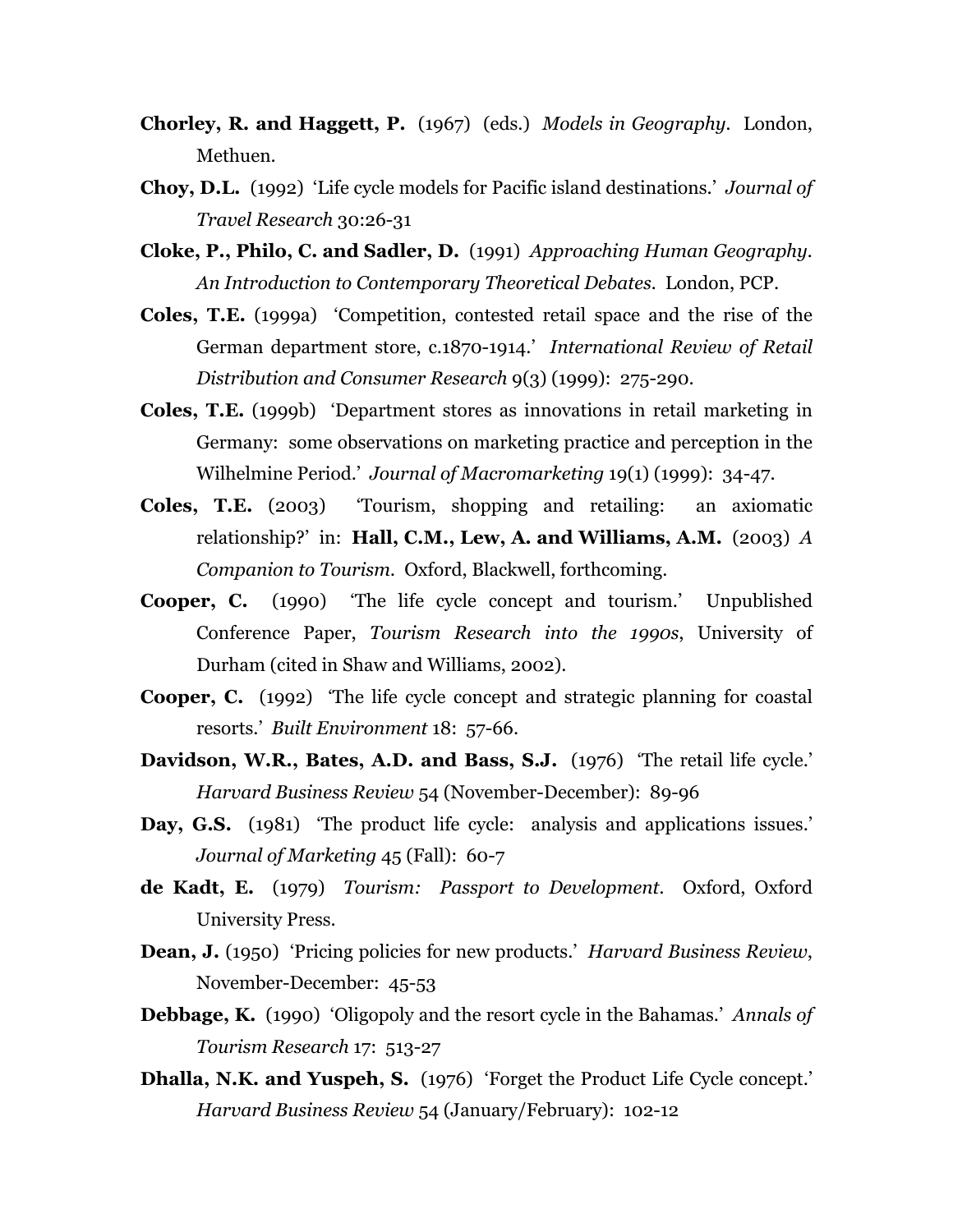- **Chorley, R. and Haggett, P.** (1967) (eds.) *Models in Geography.* London, Methuen.
- **Choy, D.L.** (1992) 'Life cycle models for Pacific island destinations.' *Journal of Travel Research* 30:26-31
- **Cloke, P., Philo, C. and Sadler, D.** (1991) *Approaching Human Geography. An Introduction to Contemporary Theoretical Debates.* London, PCP.
- **Coles, T.E.** (1999a) 'Competition, contested retail space and the rise of the German department store, c.1870-1914.' *International Review of Retail Distribution and Consumer Research* 9(3) (1999): 275-290.
- **Coles, T.E.** (1999b) 'Department stores as innovations in retail marketing in Germany: some observations on marketing practice and perception in the Wilhelmine Period.' *Journal of Macromarketing* 19(1) (1999): 34-47.
- **Coles, T.E.** (2003) 'Tourism, shopping and retailing: an axiomatic relationship?' in: **Hall, C.M., Lew, A. and Williams, A.M.** (2003) *A Companion to Tourism.* Oxford, Blackwell, forthcoming.
- **Cooper, C.** (1990) 'The life cycle concept and tourism.' Unpublished Conference Paper, *Tourism Research into the 1990s*, University of Durham (cited in Shaw and Williams, 2002).
- **Cooper, C.** (1992) 'The life cycle concept and strategic planning for coastal resorts.' *Built Environment* 18: 57-66.
- **Davidson, W.R., Bates, A.D. and Bass, S.J.** (1976) 'The retail life cycle.' *Harvard Business Review* 54 (November-December): 89-96
- Day, G.S. (1981) The product life cycle: analysis and applications issues.' *Journal of Marketing* 45 (Fall): 60-7
- **de Kadt, E.** (1979) *Tourism: Passport to Development.* Oxford, Oxford University Press.
- **Dean, J.** (1950) 'Pricing policies for new products.' *Harvard Business Review*, November-December: 45-53
- **Debbage, K.** (1990) 'Oligopoly and the resort cycle in the Bahamas.' *Annals of Tourism Research* 17: 513-27
- **Dhalla, N.K. and Yuspeh, S.** (1976) 'Forget the Product Life Cycle concept.' *Harvard Business Review* 54 (January/February): 102-12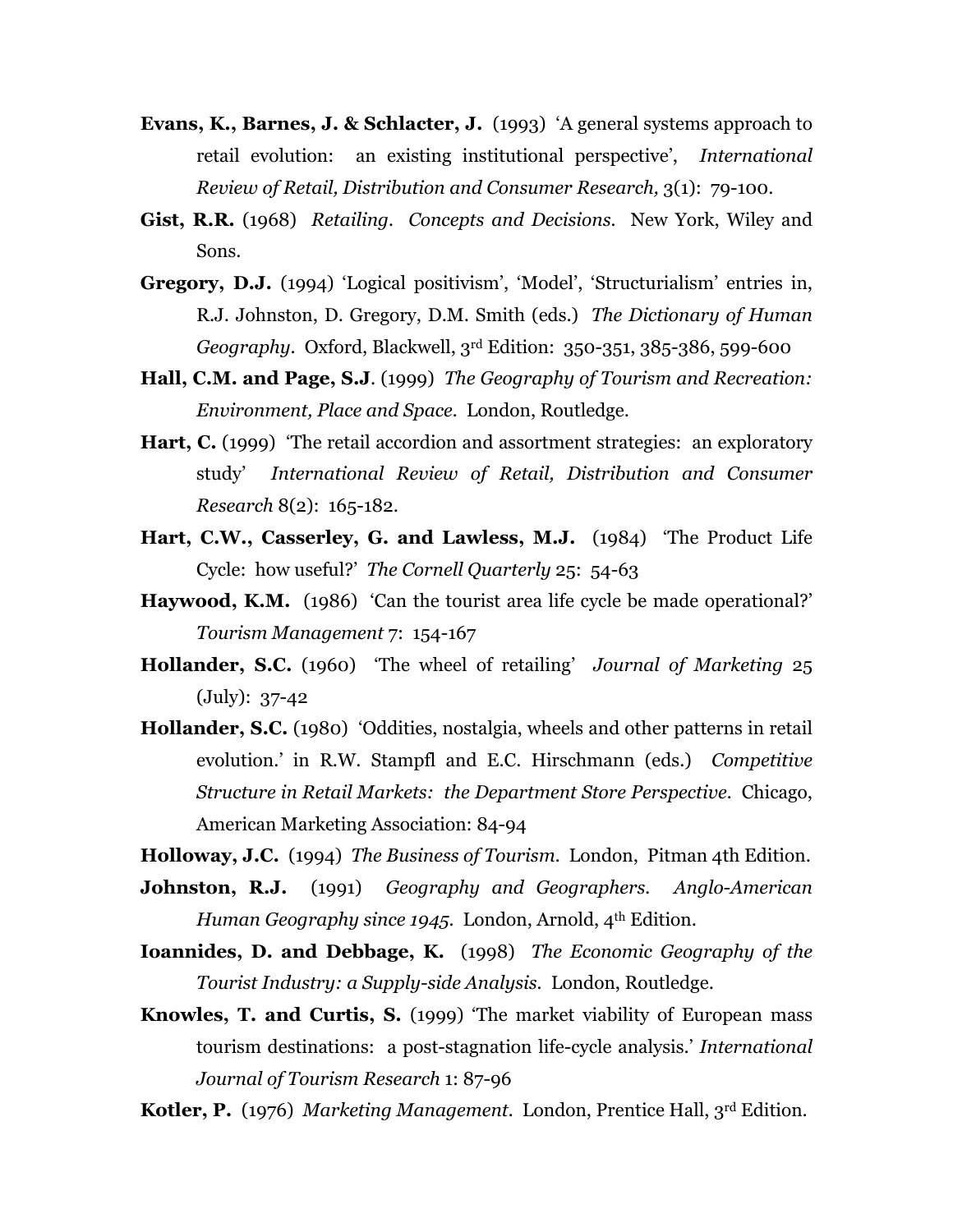- **Evans, K., Barnes, J. & Schlacter, J.** (1993) 'A general systems approach to retail evolution: an existing institutional perspective', *International Review of Retail, Distribution and Consumer Research,* 3(1): 79-100.
- **Gist, R.R.** (1968) *Retailing. Concepts and Decisions.* New York, Wiley and Sons.
- **Gregory, D.J.** (1994) 'Logical positivism', 'Model', 'Structurialism' entries in, R.J. Johnston, D. Gregory, D.M. Smith (eds.) *The Dictionary of Human Geography*. Oxford, Blackwell, 3rd Edition: 350-351, 385-386, 599-600
- **Hall, C.M. and Page, S.J**. (1999) *The Geography of Tourism and Recreation: Environment, Place and Space.* London, Routledge.
- **Hart, C.** (1999) 'The retail accordion and assortment strategies: an exploratory study' *International Review of Retail, Distribution and Consumer Research* 8(2): 165-182.
- **Hart, C.W., Casserley, G. and Lawless, M.J.** (1984) 'The Product Life Cycle: how useful?' *The Cornell Quarterly* 25: 54-63
- **Haywood, K.M.** (1986) 'Can the tourist area life cycle be made operational?' *Tourism Management* 7: 154-167
- **Hollander, S.C.** (1960) 'The wheel of retailing' *Journal of Marketing* 25 (July): 37-42
- **Hollander, S.C.** (1980) 'Oddities, nostalgia, wheels and other patterns in retail evolution.' in R.W. Stampfl and E.C. Hirschmann (eds.) *Competitive Structure in Retail Markets: the Department Store Perspective.* Chicago, American Marketing Association: 84-94
- **Holloway, J.C.** (1994) *The Business of Tourism.* London, Pitman 4th Edition.
- **Johnston, R.J.** (1991) *Geography and Geographers. Anglo-American Human Geography since 1945.* London, Arnold, 4th Edition.
- **Ioannides, D. and Debbage, K.** (1998) *The Economic Geography of the Tourist Industry: a Supply-side Analysis.* London, Routledge.
- **Knowles, T. and Curtis, S.** (1999) 'The market viability of European mass tourism destinations: a post-stagnation life-cycle analysis.' *International Journal of Tourism Research* 1: 87-96

**Kotler, P.** (1976) *Marketing Management.* London, Prentice Hall, 3rd Edition.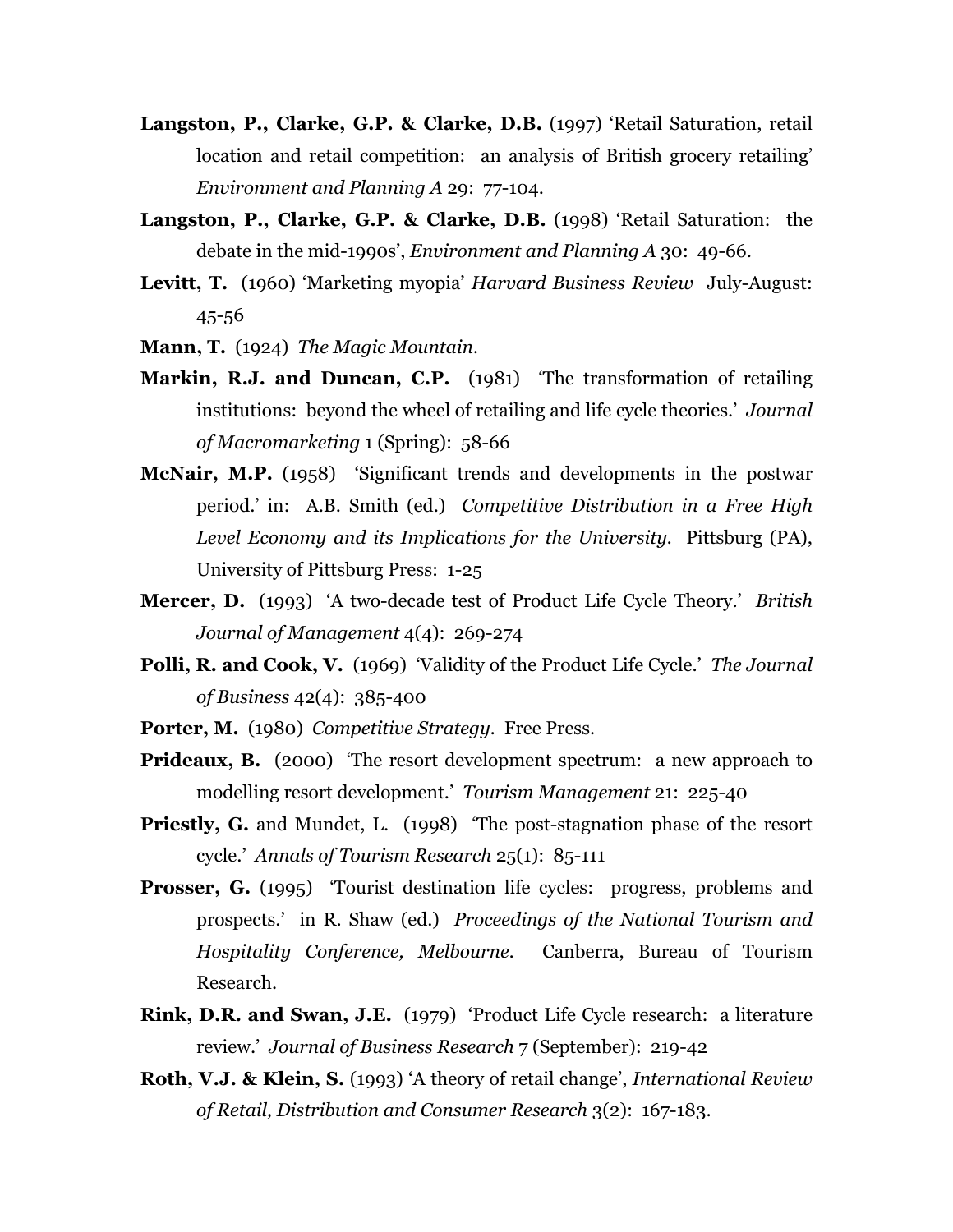- **Langston, P., Clarke, G.P. & Clarke, D.B.** (1997) 'Retail Saturation, retail location and retail competition: an analysis of British grocery retailing' *Environment and Planning A* 29: 77-104.
- **Langston, P., Clarke, G.P. & Clarke, D.B.** (1998) 'Retail Saturation: the debate in the mid-1990s', *Environment and Planning A* 30: 49-66.
- **Levitt, T.** (1960) 'Marketing myopia' *Harvard Business Review* July-August: 45-56
- **Mann, T.** (1924) *The Magic Mountain.*
- **Markin, R.J. and Duncan, C.P.** (1981) 'The transformation of retailing institutions: beyond the wheel of retailing and life cycle theories.' *Journal of Macromarketing* 1 (Spring): 58-66
- **McNair, M.P.** (1958) 'Significant trends and developments in the postwar period.' in: A.B. Smith (ed.) *Competitive Distribution in a Free High Level Economy and its Implications for the University.* Pittsburg (PA), University of Pittsburg Press: 1-25
- **Mercer, D.** (1993) 'A two-decade test of Product Life Cycle Theory.' *British Journal of Management* 4(4): 269-274
- **Polli, R. and Cook, V.** (1969) 'Validity of the Product Life Cycle.' *The Journal of Business* 42(4): 385-400
- **Porter, M.** (1980) *Competitive Strategy.* Free Press.
- **Prideaux, B.** (2000) The resort development spectrum: a new approach to modelling resort development.' *Tourism Management* 21: 225-40
- **Priestly, G.** and Mundet, L. (1998) 'The post-stagnation phase of the resort cycle.' *Annals of Tourism Research* 25(1): 85-111
- **Prosser, G.** (1995) 'Tourist destination life cycles: progress, problems and prospects.' in R. Shaw (ed.) *Proceedings of the National Tourism and Hospitality Conference, Melbourne.* Canberra, Bureau of Tourism Research.
- **Rink, D.R. and Swan, J.E.** (1979) 'Product Life Cycle research: a literature review.' *Journal of Business Research* 7 (September): 219-42
- **Roth, V.J. & Klein, S.** (1993) 'A theory of retail change', *International Review of Retail, Distribution and Consumer Research* 3(2): 167-183.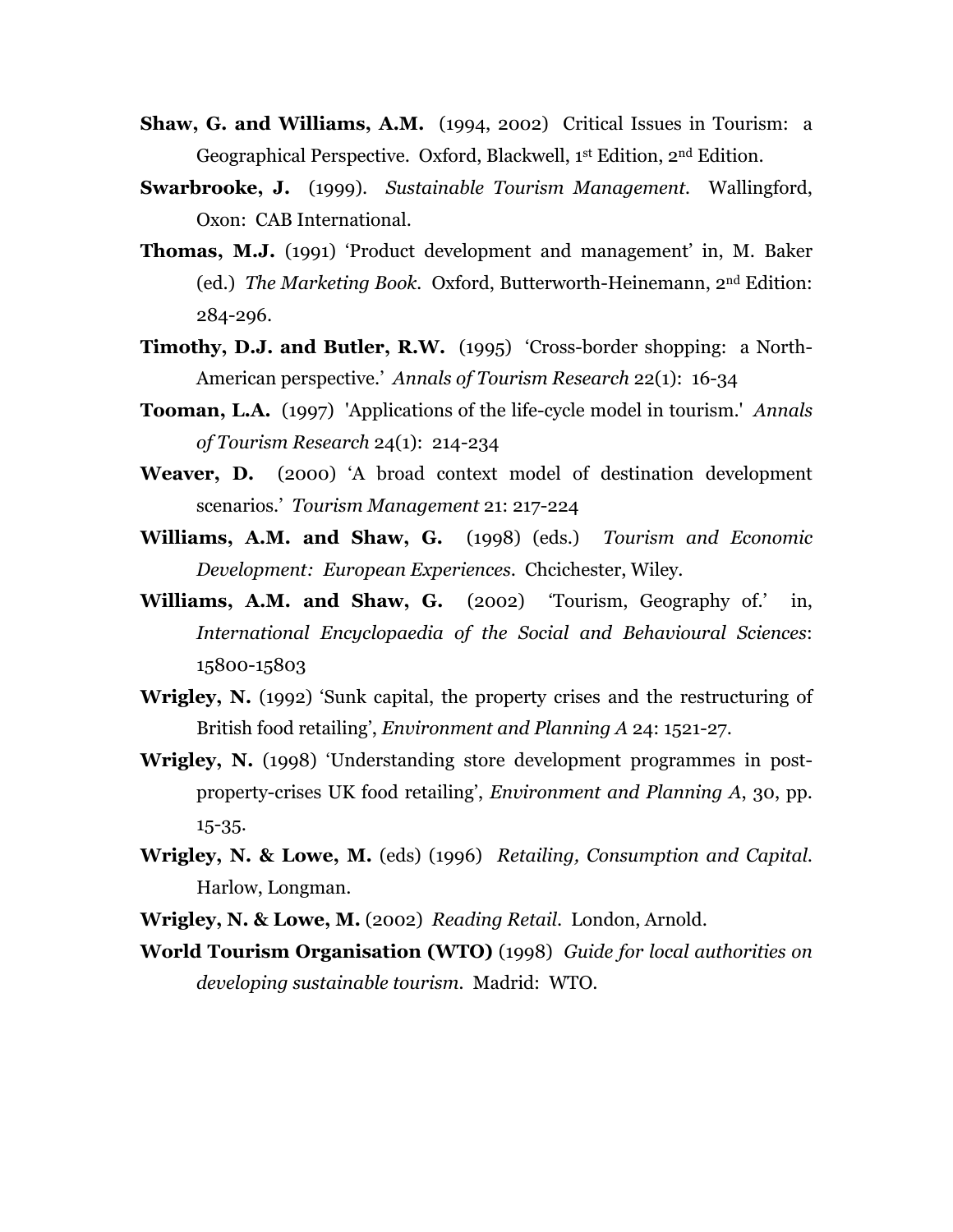- **Shaw, G. and Williams, A.M.** (1994, 2002) Critical Issues in Tourism: a Geographical Perspective. Oxford, Blackwell, 1st Edition, 2nd Edition.
- **Swarbrooke, J.** (1999). *Sustainable Tourism Management.* Wallingford, Oxon: CAB International.
- **Thomas, M.J.** (1991) 'Product development and management' in, M. Baker (ed.) *The Marketing Book.* Oxford, Butterworth-Heinemann, 2nd Edition: 284-296.
- **Timothy, D.J. and Butler, R.W.** (1995) 'Cross-border shopping: a North-American perspective.' *Annals of Tourism Research* 22(1): 16-34
- **Tooman, L.A.** (1997) 'Applications of the life-cycle model in tourism.' *Annals of Tourism Research* 24(1): 214-234
- **Weaver, D.** (2000) 'A broad context model of destination development scenarios.' *Tourism Management* 21: 217-224
- **Williams, A.M. and Shaw, G.** (1998) (eds.) *Tourism and Economic Development: European Experiences*. Chcichester, Wiley.
- **Williams, A.M. and Shaw, G.** (2002) 'Tourism, Geography of.' in, *International Encyclopaedia of the Social and Behavioural Sciences*: 15800-15803
- **Wrigley, N.** (1992) 'Sunk capital, the property crises and the restructuring of British food retailing', *Environment and Planning A* 24: 1521-27.
- **Wrigley, N.** (1998) 'Understanding store development programmes in postproperty-crises UK food retailing', *Environment and Planning A*, 30, pp. 15-35.
- **Wrigley, N. & Lowe, M.** (eds) (1996) *Retailing, Consumption and Capital*. Harlow, Longman.
- **Wrigley, N. & Lowe, M.** (2002) *Reading Retail*. London, Arnold.
- **World Tourism Organisation (WTO)** (1998) *Guide for local authorities on developing sustainable tourism.* Madrid: WTO.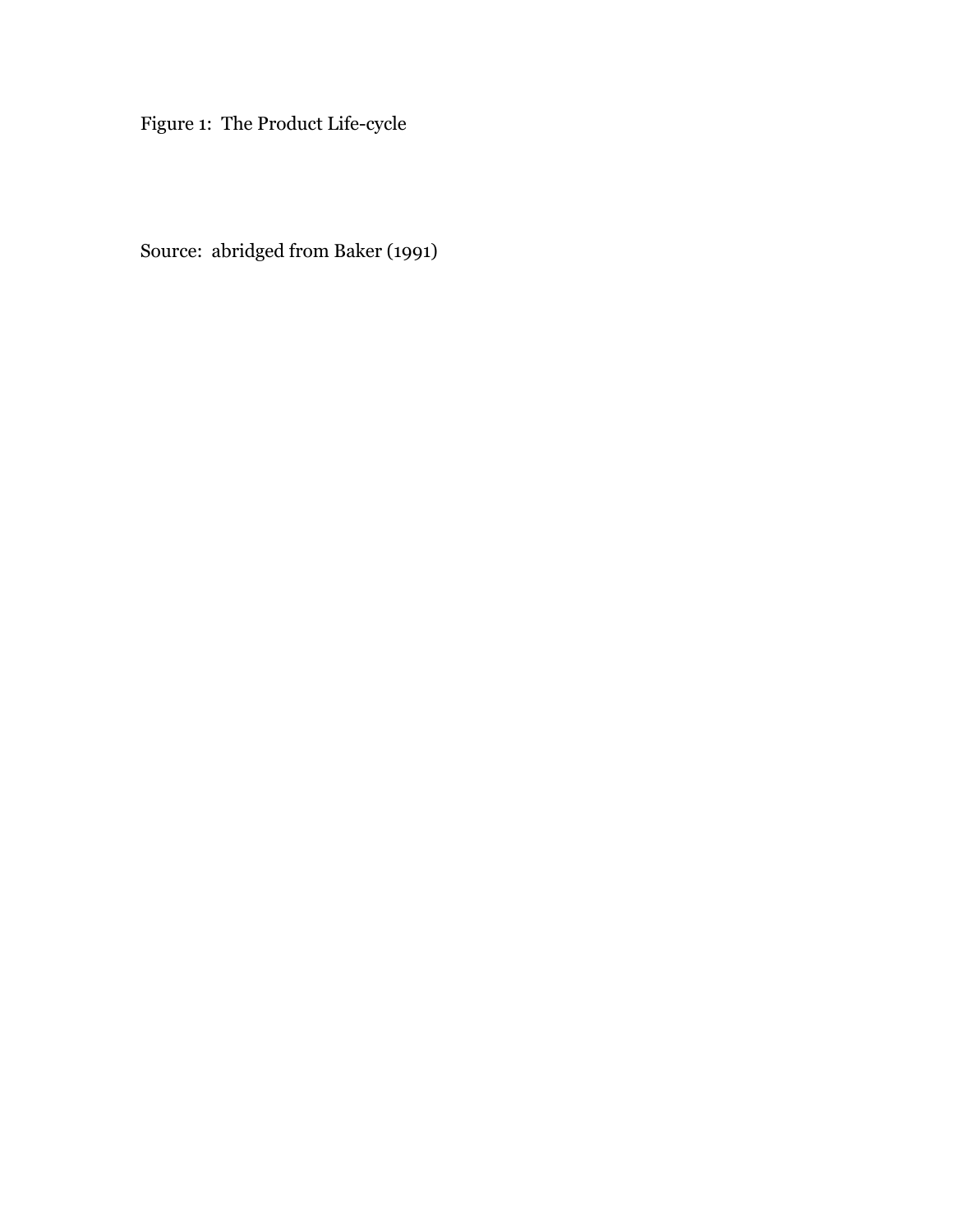Figure 1: The Product Life-cycle

Source: abridged from Baker (1991)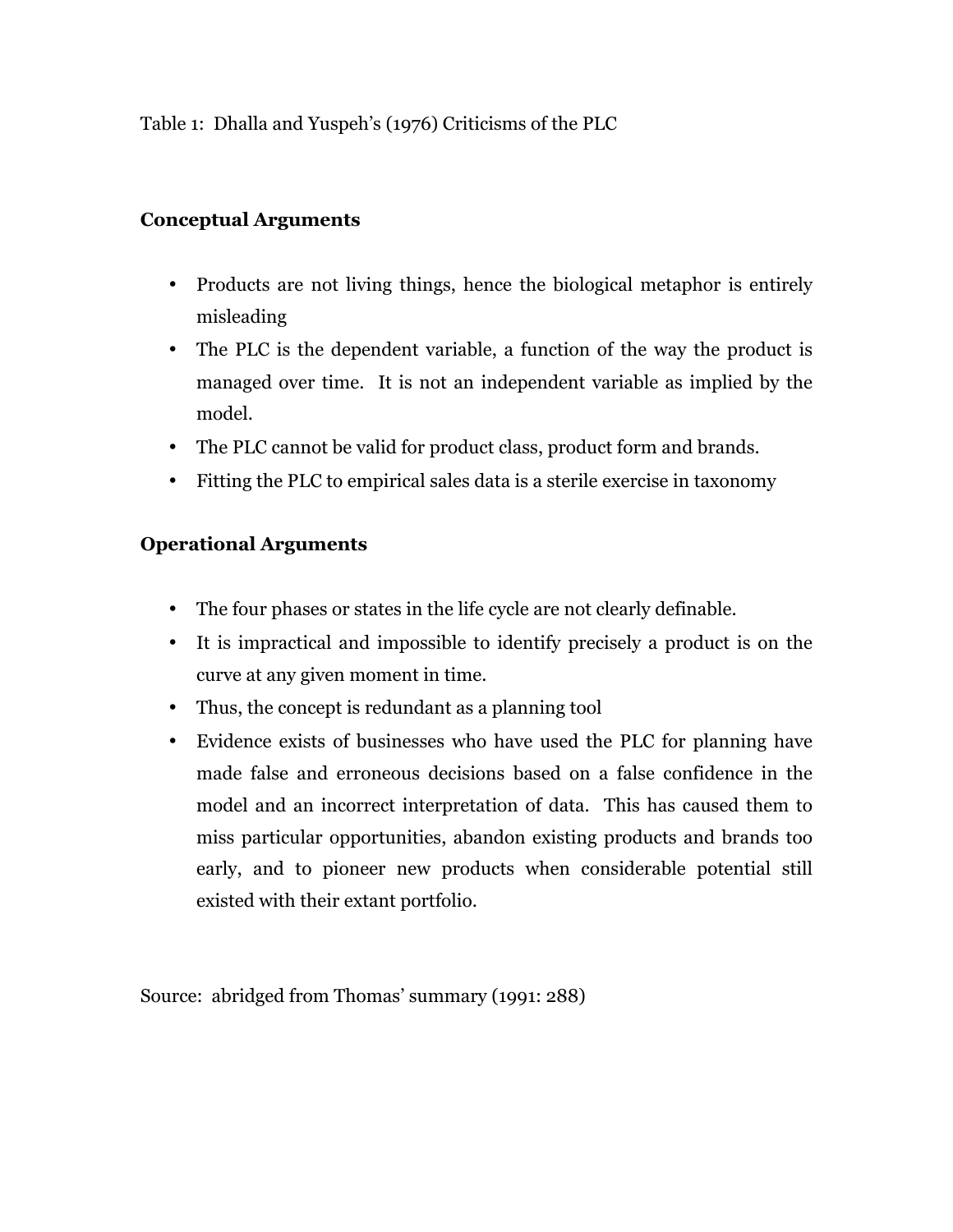Table 1: Dhalla and Yuspeh's (1976) Criticisms of the PLC

# **Conceptual Arguments**

- Products are not living things, hence the biological metaphor is entirely misleading
- The PLC is the dependent variable, a function of the way the product is managed over time. It is not an independent variable as implied by the model.
- The PLC cannot be valid for product class, product form and brands.
- Fitting the PLC to empirical sales data is a sterile exercise in taxonomy

# **Operational Arguments**

- The four phases or states in the life cycle are not clearly definable.
- It is impractical and impossible to identify precisely a product is on the curve at any given moment in time.
- Thus, the concept is redundant as a planning tool
- Evidence exists of businesses who have used the PLC for planning have made false and erroneous decisions based on a false confidence in the model and an incorrect interpretation of data. This has caused them to miss particular opportunities, abandon existing products and brands too early, and to pioneer new products when considerable potential still existed with their extant portfolio.

Source: abridged from Thomas' summary (1991: 288)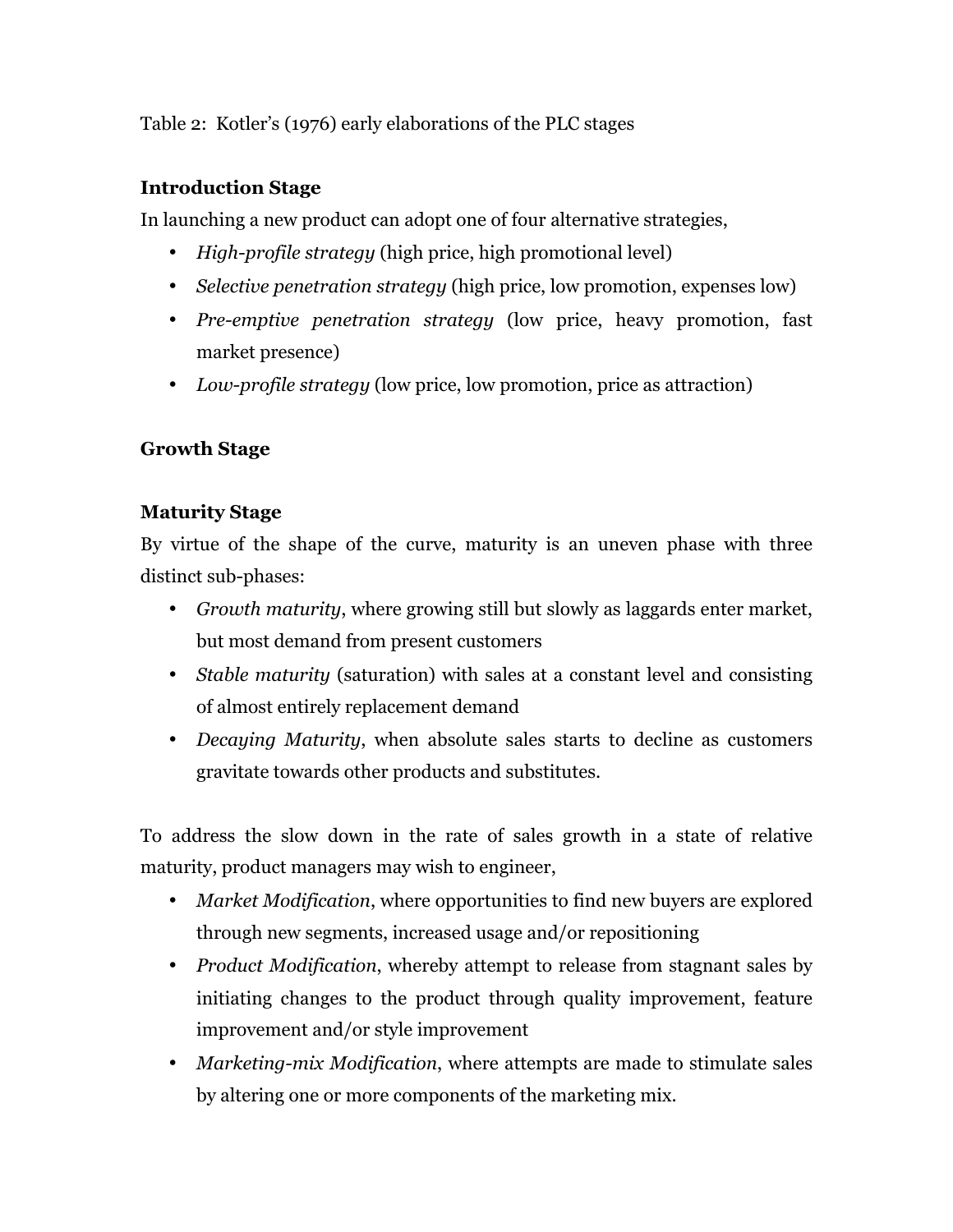Table 2: Kotler's (1976) early elaborations of the PLC stages

### **Introduction Stage**

In launching a new product can adopt one of four alternative strategies,

- *High-profile strategy* (high price, high promotional level)
- *Selective penetration strategy* (high price, low promotion, expenses low)
- *Pre-emptive penetration strategy* (low price, heavy promotion, fast market presence)
- *Low-profile strategy* (low price, low promotion, price as attraction)

# **Growth Stage**

# **Maturity Stage**

By virtue of the shape of the curve, maturity is an uneven phase with three distinct sub-phases:

- *Growth maturity*, where growing still but slowly as laggards enter market, but most demand from present customers
- *Stable maturity* (saturation) with sales at a constant level and consisting of almost entirely replacement demand
- *Decaying Maturity*, when absolute sales starts to decline as customers gravitate towards other products and substitutes.

To address the slow down in the rate of sales growth in a state of relative maturity, product managers may wish to engineer,

- *Market Modification*, where opportunities to find new buyers are explored through new segments, increased usage and/or repositioning
- *Product Modification*, whereby attempt to release from stagnant sales by initiating changes to the product through quality improvement, feature improvement and/or style improvement
- *Marketing-mix Modification*, where attempts are made to stimulate sales by altering one or more components of the marketing mix.